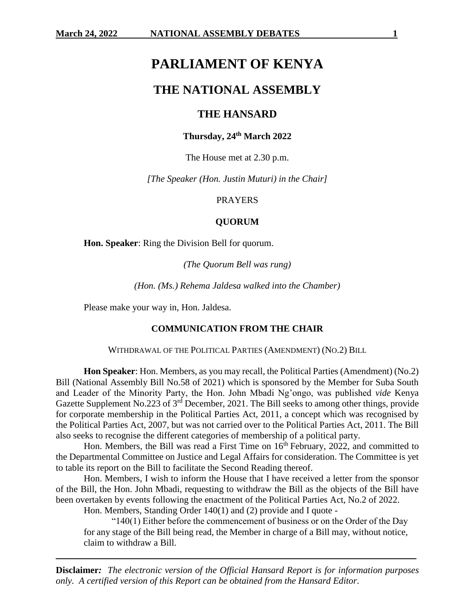# **PARLIAMENT OF KENYA**

# **THE NATIONAL ASSEMBLY**

## **THE HANSARD**

## **Thursday, 24th March 2022**

The House met at 2.30 p.m.

*[The Speaker (Hon. Justin Muturi) in the Chair]*

#### PRAYERS

## **QUORUM**

**Hon. Speaker**: Ring the Division Bell for quorum.

*(The Quorum Bell was rung)*

*(Hon. (Ms.) Rehema Jaldesa walked into the Chamber)*

Please make your way in, Hon. Jaldesa.

#### **COMMUNICATION FROM THE CHAIR**

WITHDRAWAL OF THE POLITICAL PARTIES (AMENDMENT) (NO.2) BILL

**Hon Speaker**: Hon. Members, as you may recall, the Political Parties (Amendment) (No.2) Bill (National Assembly Bill No.58 of 2021) which is sponsored by the Member for Suba South and Leader of the Minority Party, the Hon. John Mbadi Ng'ongo, was published *vide* Kenya Gazette Supplement No.223 of 3<sup>rd</sup> December, 2021. The Bill seeks to among other things, provide for corporate membership in the Political Parties Act, 2011, a concept which was recognised by the Political Parties Act, 2007, but was not carried over to the Political Parties Act, 2011. The Bill also seeks to recognise the different categories of membership of a political party.

Hon. Members, the Bill was read a First Time on  $16<sup>th</sup>$  February, 2022, and committed to the Departmental Committee on Justice and Legal Affairs for consideration. The Committee is yet to table its report on the Bill to facilitate the Second Reading thereof.

Hon. Members, I wish to inform the House that I have received a letter from the sponsor of the Bill, the Hon. John Mbadi, requesting to withdraw the Bill as the objects of the Bill have been overtaken by events following the enactment of the Political Parties Act, No.2 of 2022.

Hon. Members, Standing Order 140(1) and (2) provide and I quote -

" $140(1)$  Either before the commencement of business or on the Order of the Day for any stage of the Bill being read, the Member in charge of a Bill may, without notice, claim to withdraw a Bill.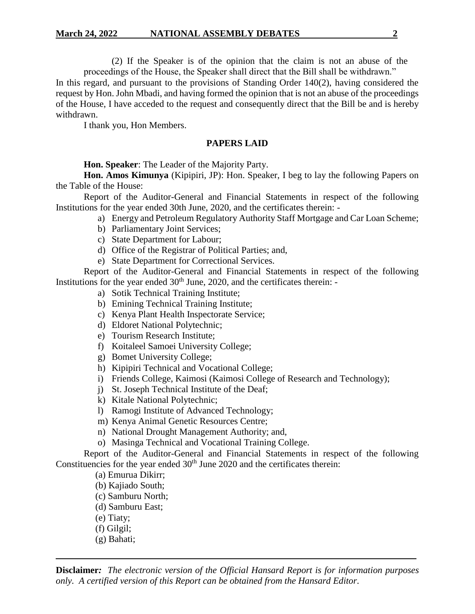(2) If the Speaker is of the opinion that the claim is not an abuse of the proceedings of the House, the Speaker shall direct that the Bill shall be withdrawn."

In this regard, and pursuant to the provisions of Standing Order 140(2), having considered the request by Hon. John Mbadi, and having formed the opinion that is not an abuse of the proceedings of the House, I have acceded to the request and consequently direct that the Bill be and is hereby withdrawn.

I thank you, Hon Members.

## **PAPERS LAID**

**Hon. Speaker**: The Leader of the Majority Party.

**Hon. Amos Kimunya** (Kipipiri, JP): Hon. Speaker, I beg to lay the following Papers on the Table of the House:

Report of the Auditor-General and Financial Statements in respect of the following Institutions for the year ended 30th June, 2020, and the certificates therein: -

- a) Energy and Petroleum Regulatory Authority Staff Mortgage and Car Loan Scheme;
- b) Parliamentary Joint Services;
- c) State Department for Labour;
- d) Office of the Registrar of Political Parties; and,
- e) State Department for Correctional Services.

Report of the Auditor-General and Financial Statements in respect of the following Institutions for the year ended  $30<sup>th</sup>$  June, 2020, and the certificates therein: -

- a) Sotik Technical Training Institute;
- b) Emining Technical Training Institute;
- c) Kenya Plant Health Inspectorate Service;
- d) Eldoret National Polytechnic;
- e) Tourism Research Institute;
- f) Koitaleel Samoei University College;
- g) Bomet University College;
- h) Kipipiri Technical and Vocational College;
- i) Friends College, Kaimosi (Kaimosi College of Research and Technology);
- j) St. Joseph Technical Institute of the Deaf;
- k) Kitale National Polytechnic;
- l) Ramogi Institute of Advanced Technology;
- m) Kenya Animal Genetic Resources Centre;
- n) National Drought Management Authority; and,
- o) Masinga Technical and Vocational Training College.

Report of the Auditor-General and Financial Statements in respect of the following Constituencies for the year ended  $30<sup>th</sup>$  June 2020 and the certificates therein:

- (a) Emurua Dikirr;
- (b) Kajiado South;
- (c) Samburu North;
- (d) Samburu East;
- (e) Tiaty;
- (f) Gilgil;
- (g) Bahati;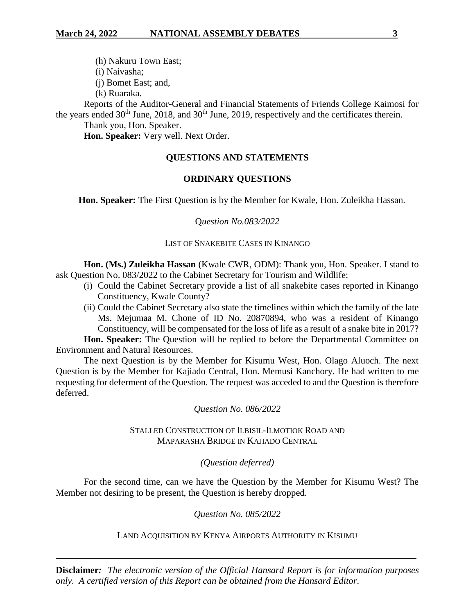(h) Nakuru Town East;

(i) Naivasha;

(j) Bomet East; and,

(k) Ruaraka.

Reports of the Auditor-General and Financial Statements of Friends College Kaimosi for the years ended  $30<sup>th</sup>$  June,  $2018$ , and  $30<sup>th</sup>$  June,  $2019$ , respectively and the certificates therein.

Thank you, Hon. Speaker.

**Hon. Speaker:** Very well. Next Order.

# **QUESTIONS AND STATEMENTS**

# **ORDINARY QUESTIONS**

**Hon. Speaker:** The First Question is by the Member for Kwale, Hon. Zuleikha Hassan.

# Q*uestion No.083/2022*

# LIST OF SNAKEBITE CASES IN KINANGO

**Hon. (Ms.) Zuleikha Hassan** (Kwale CWR, ODM): Thank you, Hon. Speaker. I stand to ask Question No. 083/2022 to the Cabinet Secretary for Tourism and Wildlife:

- (i) Could the Cabinet Secretary provide a list of all snakebite cases reported in Kinango Constituency, Kwale County?
- (ii) Could the Cabinet Secretary also state the timelines within which the family of the late Ms. Mejumaa M. Chone of ID No. 20870894, who was a resident of Kinango Constituency, will be compensated for the loss of life as a result of a snake bite in 2017?

**Hon. Speaker:** The Question will be replied to before the Departmental Committee on Environment and Natural Resources.

The next Question is by the Member for Kisumu West, Hon. Olago Aluoch. The next Question is by the Member for Kajiado Central, Hon. Memusi Kanchory. He had written to me requesting for deferment of the Question. The request was acceded to and the Question is therefore deferred.

# *Question No. 086/2022*

# STALLED CONSTRUCTION OF ILBISIL-ILMOTIOK ROAD AND MAPARASHA BRIDGE IN KAJIADO CENTRAL

# *(Question deferred)*

For the second time, can we have the Question by the Member for Kisumu West? The Member not desiring to be present, the Question is hereby dropped.

# *Question No. 085/2022*

# LAND ACQUISITION BY KENYA AIRPORTS AUTHORITY IN KISUMU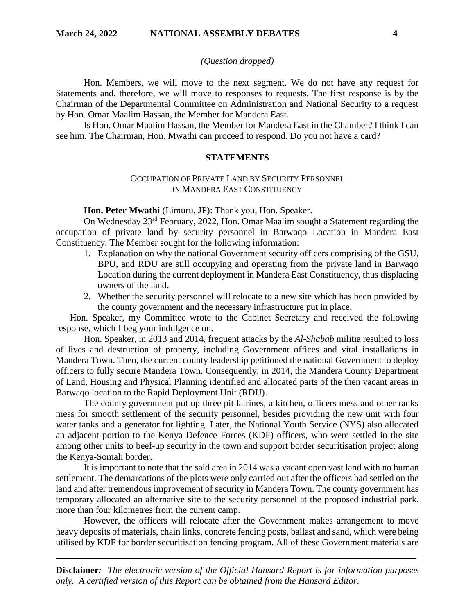Hon. Members, we will move to the next segment. We do not have any request for Statements and, therefore, we will move to responses to requests. The first response is by the Chairman of the Departmental Committee on Administration and National Security to a request by Hon. Omar Maalim Hassan, the Member for Mandera East.

Is Hon. Omar Maalim Hassan, the Member for Mandera East in the Chamber? I think I can see him. The Chairman, Hon. Mwathi can proceed to respond. Do you not have a card?

## **STATEMENTS**

# OCCUPATION OF PRIVATE LAND BY SECURITY PERSONNEL IN MANDERA EAST CONSTITUENCY

**Hon. Peter Mwathi** (Limuru, JP): Thank you, Hon. Speaker.

On Wednesday 23rd February, 2022, Hon. Omar Maalim sought a Statement regarding the occupation of private land by security personnel in Barwaqo Location in Mandera East Constituency. The Member sought for the following information:

- 1. Explanation on why the national Government security officers comprising of the GSU, BPU, and RDU are still occupying and operating from the private land in Barwaqo Location during the current deployment in Mandera East Constituency, thus displacing owners of the land.
- 2. Whether the security personnel will relocate to a new site which has been provided by the county government and the necessary infrastructure put in place.

Hon. Speaker, my Committee wrote to the Cabinet Secretary and received the following response, which I beg your indulgence on.

Hon. Speaker, in 2013 and 2014, frequent attacks by the *Al-Shabab* militia resulted to loss of lives and destruction of property, including Government offices and vital installations in Mandera Town. Then, the current county leadership petitioned the national Government to deploy officers to fully secure Mandera Town. Consequently, in 2014, the Mandera County Department of Land, Housing and Physical Planning identified and allocated parts of the then vacant areas in Barwaqo location to the Rapid Deployment Unit (RDU).

The county government put up three pit latrines, a kitchen, officers mess and other ranks mess for smooth settlement of the security personnel, besides providing the new unit with four water tanks and a generator for lighting. Later, the National Youth Service (NYS) also allocated an adjacent portion to the Kenya Defence Forces (KDF) officers, who were settled in the site among other units to beef-up security in the town and support border securitisation project along the Kenya-Somali border.

It is important to note that the said area in 2014 was a vacant open vast land with no human settlement. The demarcations of the plots were only carried out after the officers had settled on the land and after tremendous improvement of security in Mandera Town. The county government has temporary allocated an alternative site to the security personnel at the proposed industrial park, more than four kilometres from the current camp.

However, the officers will relocate after the Government makes arrangement to move heavy deposits of materials, chain links, concrete fencing posts, ballast and sand, which were being utilised by KDF for border securitisation fencing program. All of these Government materials are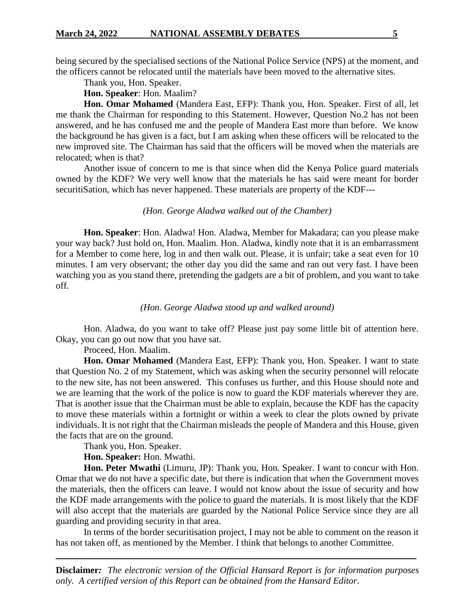being secured by the specialised sections of the National Police Service (NPS) at the moment, and the officers cannot be relocated until the materials have been moved to the alternative sites.

Thank you, Hon. Speaker.

**Hon. Speaker**: Hon. Maalim?

**Hon. Omar Mohamed** (Mandera East, EFP): Thank you, Hon. Speaker. First of all, let me thank the Chairman for responding to this Statement. However, Question No.2 has not been answered, and he has confused me and the people of Mandera East more than before. We know the background he has given is a fact, but I am asking when these officers will be relocated to the new improved site. The Chairman has said that the officers will be moved when the materials are relocated; when is that?

Another issue of concern to me is that since when did the Kenya Police guard materials owned by the KDF? We very well know that the materials he has said were meant for border securitiSation, which has never happened. These materials are property of the KDF---

## *(Hon. George Aladwa walked out of the Chamber)*

**Hon. Speaker**: Hon. Aladwa! Hon. Aladwa, Member for Makadara; can you please make your way back? Just hold on, Hon. Maalim. Hon. Aladwa, kindly note that it is an embarrassment for a Member to come here, log in and then walk out. Please, it is unfair; take a seat even for 10 minutes. I am very observant; the other day you did the same and ran out very fast. I have been watching you as you stand there, pretending the gadgets are a bit of problem, and you want to take off.

#### *(Hon. George Aladwa stood up and walked around)*

Hon. Aladwa, do you want to take off? Please just pay some little bit of attention here. Okay, you can go out now that you have sat.

Proceed, Hon. Maalim.

**Hon. Omar Mohamed** (Mandera East, EFP): Thank you, Hon. Speaker. I want to state that Question No. 2 of my Statement, which was asking when the security personnel will relocate to the new site, has not been answered. This confuses us further, and this House should note and we are learning that the work of the police is now to guard the KDF materials wherever they are. That is another issue that the Chairman must be able to explain, because the KDF has the capacity to move these materials within a fortnight or within a week to clear the plots owned by private individuals. It is not right that the Chairman misleads the people of Mandera and this House, given the facts that are on the ground.

Thank you, Hon. Speaker.

**Hon. Speaker:** Hon. Mwathi.

**Hon. Peter Mwathi** (Limuru, JP): Thank you, Hon. Speaker. I want to concur with Hon. Omar that we do not have a specific date, but there is indication that when the Government moves the materials, then the officers can leave. I would not know about the issue of security and how the KDF made arrangements with the police to guard the materials. It is most likely that the KDF will also accept that the materials are guarded by the National Police Service since they are all guarding and providing security in that area.

In terms of the border securitisation project, I may not be able to comment on the reason it has not taken off, as mentioned by the Member. I think that belongs to another Committee.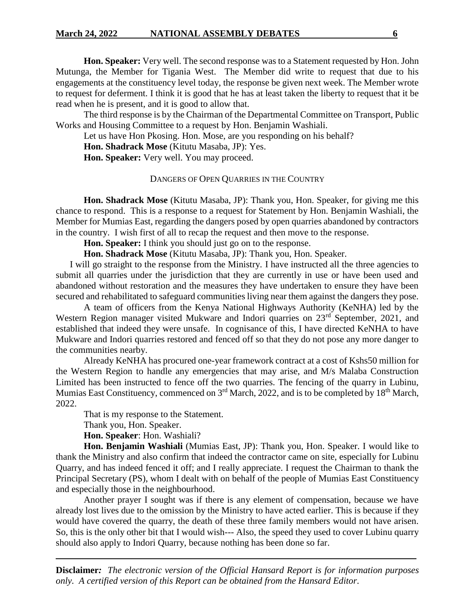**Hon. Speaker:** Very well. The second response was to a Statement requested by Hon. John Mutunga, the Member for Tigania West. The Member did write to request that due to his engagements at the constituency level today, the response be given next week. The Member wrote to request for deferment. I think it is good that he has at least taken the liberty to request that it be read when he is present, and it is good to allow that.

The third response is by the Chairman of the Departmental Committee on Transport, Public Works and Housing Committee to a request by Hon. Benjamin Washiali.

Let us have Hon Pkosing. Hon. Mose, are you responding on his behalf?

**Hon. Shadrack Mose** (Kitutu Masaba, JP): Yes.

**Hon. Speaker:** Very well. You may proceed.

# DANGERS OF OPEN QUARRIES IN THE COUNTRY

**Hon. Shadrack Mose** (Kitutu Masaba, JP): Thank you, Hon. Speaker, for giving me this chance to respond. This is a response to a request for Statement by Hon. Benjamin Washiali, the Member for Mumias East, regarding the dangers posed by open quarries abandoned by contractors in the country. I wish first of all to recap the request and then move to the response.

**Hon. Speaker:** I think you should just go on to the response.

**Hon. Shadrack Mose** (Kitutu Masaba, JP): Thank you, Hon. Speaker.

I will go straight to the response from the Ministry. I have instructed all the three agencies to submit all quarries under the jurisdiction that they are currently in use or have been used and abandoned without restoration and the measures they have undertaken to ensure they have been secured and rehabilitated to safeguard communities living near them against the dangers they pose.

A team of officers from the Kenya National Highways Authority (KeNHA) led by the Western Region manager visited Mukware and Indori quarries on 23<sup>rd</sup> September, 2021, and established that indeed they were unsafe. In cognisance of this, I have directed KeNHA to have Mukware and Indori quarries restored and fenced off so that they do not pose any more danger to the communities nearby.

Already KeNHA has procured one-year framework contract at a cost of Kshs50 million for the Western Region to handle any emergencies that may arise, and M/s Malaba Construction Limited has been instructed to fence off the two quarries. The fencing of the quarry in Lubinu, Mumias East Constituency, commenced on 3<sup>rd</sup> March, 2022, and is to be completed by 18<sup>th</sup> March, 2022.

That is my response to the Statement.

Thank you, Hon. Speaker.

**Hon. Speaker**: Hon. Washiali?

**Hon. Benjamin Washiali** (Mumias East, JP): Thank you, Hon. Speaker. I would like to thank the Ministry and also confirm that indeed the contractor came on site, especially for Lubinu Quarry, and has indeed fenced it off; and I really appreciate. I request the Chairman to thank the Principal Secretary (PS), whom I dealt with on behalf of the people of Mumias East Constituency and especially those in the neighbourhood.

Another prayer I sought was if there is any element of compensation, because we have already lost lives due to the omission by the Ministry to have acted earlier. This is because if they would have covered the quarry, the death of these three family members would not have arisen. So, this is the only other bit that I would wish--- Also, the speed they used to cover Lubinu quarry should also apply to Indori Quarry, because nothing has been done so far.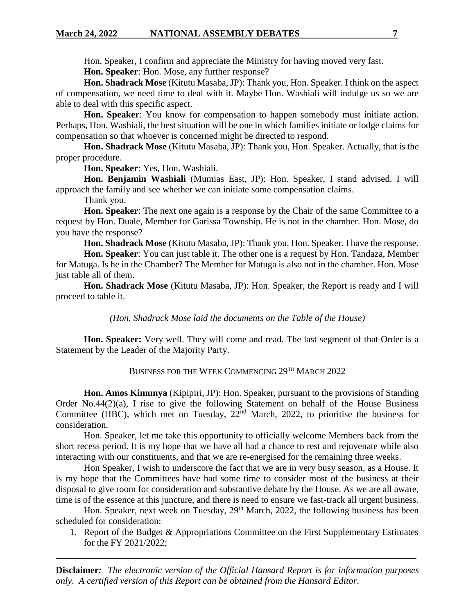Hon. Speaker, I confirm and appreciate the Ministry for having moved very fast.

**Hon. Speaker**: Hon. Mose, any further response?

**Hon. Shadrack Mose** (Kitutu Masaba, JP): Thank you, Hon. Speaker. I think on the aspect of compensation, we need time to deal with it. Maybe Hon. Washiali will indulge us so we are able to deal with this specific aspect.

**Hon. Speaker**: You know for compensation to happen somebody must initiate action. Perhaps, Hon. Washiali, the best situation will be one in which families initiate or lodge claims for compensation so that whoever is concerned might be directed to respond.

**Hon. Shadrack Mose** (Kitutu Masaba, JP): Thank you, Hon. Speaker. Actually, that is the proper procedure.

**Hon. Speaker**: Yes, Hon. Washiali.

**Hon. Benjamin Washiali** (Mumias East, JP): Hon. Speaker, I stand advised. I will approach the family and see whether we can initiate some compensation claims.

Thank you.

**Hon. Speaker**: The next one again is a response by the Chair of the same Committee to a request by Hon. Duale, Member for Garissa Township. He is not in the chamber. Hon. Mose, do you have the response?

**Hon. Shadrack Mose** (Kitutu Masaba, JP): Thank you, Hon. Speaker. I have the response.

**Hon. Speaker**: You can just table it. The other one is a request by Hon. Tandaza, Member for Matuga. Is he in the Chamber? The Member for Matuga is also not in the chamber. Hon. Mose just table all of them.

**Hon. Shadrack Mose** (Kitutu Masaba, JP): Hon. Speaker, the Report is ready and I will proceed to table it.

*(Hon. Shadrack Mose laid the documents on the Table of the House)*

**Hon. Speaker:** Very well. They will come and read. The last segment of that Order is a Statement by the Leader of the Majority Party.

BUSINESS FOR THE WEEK COMMENCING 29TH MARCH 2022

**Hon. Amos Kimunya** (Kipipiri, JP): Hon. Speaker, pursuant to the provisions of Standing Order No.44(2)(a), I rise to give the following Statement on behalf of the House Business Committee (HBC), which met on Tuesday,  $22<sup>nd</sup>$  March, 2022, to prioritise the business for consideration.

Hon. Speaker, let me take this opportunity to officially welcome Members back from the short recess period. It is my hope that we have all had a chance to rest and rejuvenate while also interacting with our constituents, and that we are re-energised for the remaining three weeks.

Hon Speaker, I wish to underscore the fact that we are in very busy season, as a House. It is my hope that the Committees have had some time to consider most of the business at their disposal to give room for consideration and substantive debate by the House. As we are all aware, time is of the essence at this juncture, and there is need to ensure we fast-track all urgent business.

Hon. Speaker, next week on Tuesday, 29<sup>th</sup> March, 2022, the following business has been scheduled for consideration:

1. Report of the Budget & Appropriations Committee on the First Supplementary Estimates for the FY 2021/2022;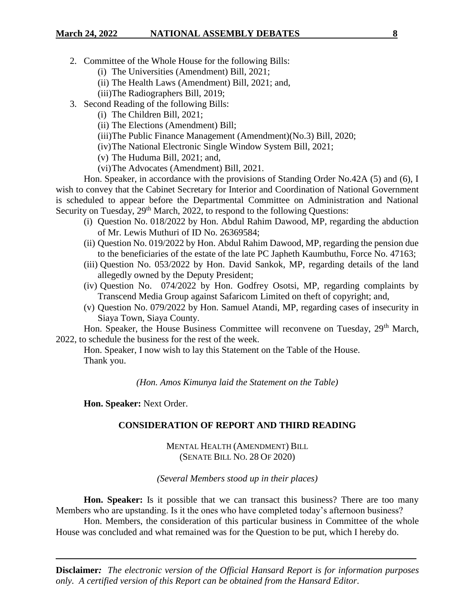- 2. Committee of the Whole House for the following Bills:
	- (i) The Universities (Amendment) Bill, 2021;
	- (ii) The Health Laws (Amendment) Bill, 2021; and,
	- (iii)The Radiographers Bill, 2019;
- 3. Second Reading of the following Bills:
	- (i) The Children Bill, 2021;
	- (ii) The Elections (Amendment) Bill;
	- (iii)The Public Finance Management (Amendment)(No.3) Bill, 2020;
	- (iv)The National Electronic Single Window System Bill, 2021;
	- (v) The Huduma Bill, 2021; and,
	- (vi)The Advocates (Amendment) Bill, 2021.

Hon. Speaker, in accordance with the provisions of Standing Order No.42A (5) and (6), I wish to convey that the Cabinet Secretary for Interior and Coordination of National Government is scheduled to appear before the Departmental Committee on Administration and National Security on Tuesday, 29<sup>th</sup> March, 2022, to respond to the following Questions:

- (i) Question No. 018/2022 by Hon. Abdul Rahim Dawood, MP, regarding the abduction of Mr. Lewis Muthuri of ID No. 26369584;
- (ii) Question No. 019/2022 by Hon. Abdul Rahim Dawood, MP, regarding the pension due to the beneficiaries of the estate of the late PC Japheth Kaumbuthu, Force No. 47163;
- (iii) Question No. 053/2022 by Hon. David Sankok, MP, regarding details of the land allegedly owned by the Deputy President;
- (iv) Question No. 074/2022 by Hon. Godfrey Osotsi, MP, regarding complaints by Transcend Media Group against Safaricom Limited on theft of copyright; and,
- (v) Question No. 079/2022 by Hon. Samuel Atandi, MP, regarding cases of insecurity in Siaya Town, Siaya County.

Hon. Speaker, the House Business Committee will reconvene on Tuesday, 29<sup>th</sup> March, 2022, to schedule the business for the rest of the week.

Hon. Speaker, I now wish to lay this Statement on the Table of the House. Thank you.

*(Hon. Amos Kimunya laid the Statement on the Table)*

**Hon. Speaker:** Next Order.

# **CONSIDERATION OF REPORT AND THIRD READING**

MENTAL HEALTH (AMENDMENT) BILL (SENATE BILL NO. 28 OF 2020)

# *(Several Members stood up in their places)*

**Hon. Speaker:** Is it possible that we can transact this business? There are too many Members who are upstanding. Is it the ones who have completed today's afternoon business?

Hon. Members, the consideration of this particular business in Committee of the whole House was concluded and what remained was for the Question to be put, which I hereby do.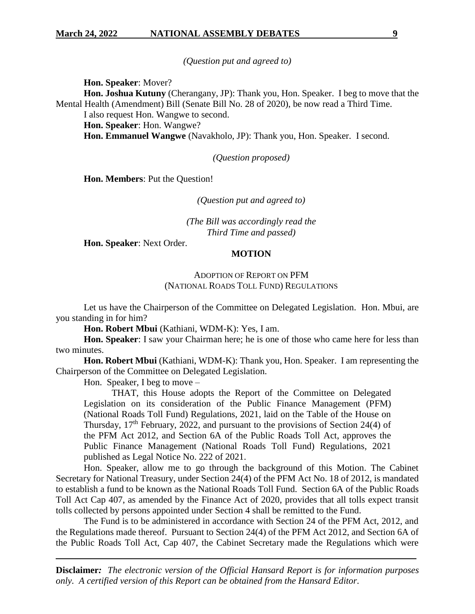*(Question put and agreed to)*

**Hon. Speaker**: Mover?

**Hon. Joshua Kutuny** (Cherangany, JP): Thank you, Hon. Speaker. I beg to move that the Mental Health (Amendment) Bill (Senate Bill No. 28 of 2020), be now read a Third Time.

I also request Hon. Wangwe to second.

**Hon. Speaker**: Hon. Wangwe?

**Hon. Emmanuel Wangwe** (Navakholo, JP): Thank you, Hon. Speaker. I second.

*(Question proposed)*

**Hon. Members**: Put the Question!

*(Question put and agreed to)*

*(The Bill was accordingly read the Third Time and passed)*

**Hon. Speaker**: Next Order.

#### **MOTION**

# ADOPTION OF REPORT ON PFM (NATIONAL ROADS TOLL FUND) REGULATIONS

Let us have the Chairperson of the Committee on Delegated Legislation. Hon. Mbui, are you standing in for him?

**Hon. Robert Mbui** (Kathiani, WDM-K): Yes, I am.

**Hon. Speaker**: I saw your Chairman here; he is one of those who came here for less than two minutes.

**Hon. Robert Mbui** (Kathiani, WDM-K): Thank you, Hon. Speaker. I am representing the Chairperson of the Committee on Delegated Legislation.

Hon. Speaker, I beg to move –

THAT, this House adopts the Report of the Committee on Delegated Legislation on its consideration of the Public Finance Management (PFM) (National Roads Toll Fund) Regulations, 2021, laid on the Table of the House on Thursday,  $17<sup>th</sup>$  February, 2022, and pursuant to the provisions of Section 24(4) of the PFM Act 2012, and Section 6A of the Public Roads Toll Act, approves the Public Finance Management (National Roads Toll Fund) Regulations, 2021 published as Legal Notice No. 222 of 2021.

Hon. Speaker, allow me to go through the background of this Motion. The Cabinet Secretary for National Treasury, under Section 24(4) of the PFM Act No. 18 of 2012, is mandated to establish a fund to be known as the National Roads Toll Fund. Section 6A of the Public Roads Toll Act Cap 407, as amended by the Finance Act of 2020, provides that all tolls expect transit tolls collected by persons appointed under Section 4 shall be remitted to the Fund.

The Fund is to be administered in accordance with Section 24 of the PFM Act, 2012, and the Regulations made thereof. Pursuant to Section 24(4) of the PFM Act 2012, and Section 6A of the Public Roads Toll Act, Cap 407, the Cabinet Secretary made the Regulations which were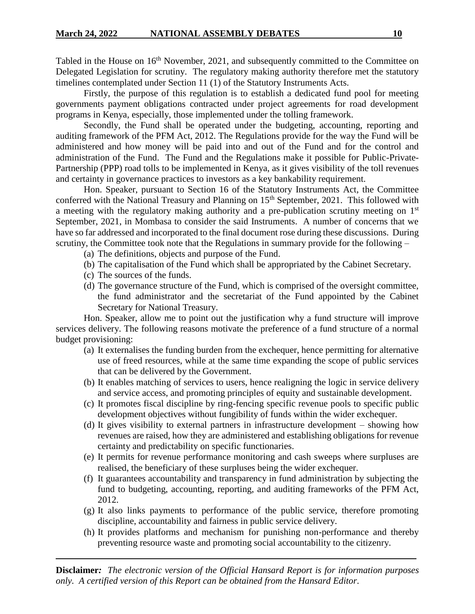Tabled in the House on 16<sup>th</sup> November, 2021, and subsequently committed to the Committee on Delegated Legislation for scrutiny. The regulatory making authority therefore met the statutory timelines contemplated under Section 11 (1) of the Statutory Instruments Acts.

Firstly, the purpose of this regulation is to establish a dedicated fund pool for meeting governments payment obligations contracted under project agreements for road development programs in Kenya, especially, those implemented under the tolling framework.

Secondly, the Fund shall be operated under the budgeting, accounting, reporting and auditing framework of the PFM Act, 2012. The Regulations provide for the way the Fund will be administered and how money will be paid into and out of the Fund and for the control and administration of the Fund. The Fund and the Regulations make it possible for Public-Private-Partnership (PPP) road tolls to be implemented in Kenya, as it gives visibility of the toll revenues and certainty in governance practices to investors as a key bankability requirement.

Hon. Speaker, pursuant to Section 16 of the Statutory Instruments Act, the Committee conferred with the National Treasury and Planning on 15<sup>th</sup> September, 2021. This followed with a meeting with the regulatory making authority and a pre-publication scrutiny meeting on 1<sup>st</sup> September, 2021, in Mombasa to consider the said Instruments. A number of concerns that we have so far addressed and incorporated to the final document rose during these discussions. During scrutiny, the Committee took note that the Regulations in summary provide for the following –

- (a) The definitions, objects and purpose of the Fund.
- (b) The capitalisation of the Fund which shall be appropriated by the Cabinet Secretary.
- (c) The sources of the funds.
- (d) The governance structure of the Fund, which is comprised of the oversight committee, the fund administrator and the secretariat of the Fund appointed by the Cabinet Secretary for National Treasury.

Hon. Speaker, allow me to point out the justification why a fund structure will improve services delivery. The following reasons motivate the preference of a fund structure of a normal budget provisioning:

- (a) It externalises the funding burden from the exchequer, hence permitting for alternative use of freed resources, while at the same time expanding the scope of public services that can be delivered by the Government.
- (b) It enables matching of services to users, hence realigning the logic in service delivery and service access, and promoting principles of equity and sustainable development.
- (c) It promotes fiscal discipline by ring-fencing specific revenue pools to specific public development objectives without fungibility of funds within the wider exchequer.
- (d) It gives visibility to external partners in infrastructure development showing how revenues are raised, how they are administered and establishing obligations for revenue certainty and predictability on specific functionaries.
- (e) It permits for revenue performance monitoring and cash sweeps where surpluses are realised, the beneficiary of these surpluses being the wider exchequer.
- (f) It guarantees accountability and transparency in fund administration by subjecting the fund to budgeting, accounting, reporting, and auditing frameworks of the PFM Act, 2012.
- (g) It also links payments to performance of the public service, therefore promoting discipline, accountability and fairness in public service delivery.
- (h) It provides platforms and mechanism for punishing non-performance and thereby preventing resource waste and promoting social accountability to the citizenry.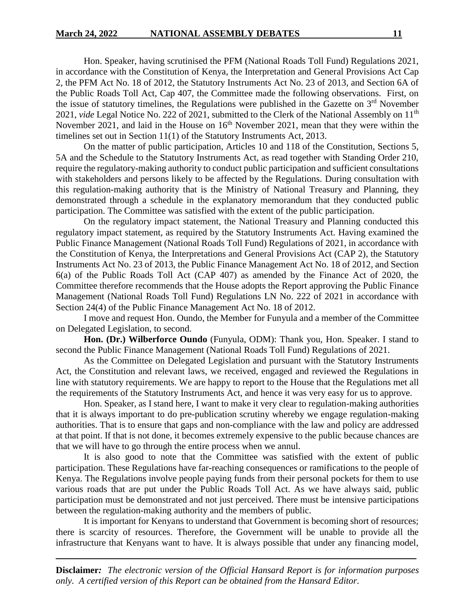Hon. Speaker, having scrutinised the PFM (National Roads Toll Fund) Regulations 2021, in accordance with the Constitution of Kenya, the Interpretation and General Provisions Act Cap 2, the PFM Act No. 18 of 2012, the Statutory Instruments Act No. 23 of 2013, and Section 6A of the Public Roads Toll Act, Cap 407, the Committee made the following observations. First, on the issue of statutory timelines, the Regulations were published in the Gazette on  $3<sup>rd</sup>$  November 2021, *vide* Legal Notice No. 222 of 2021, submitted to the Clerk of the National Assembly on 11<sup>th</sup> November 2021, and laid in the House on  $16<sup>th</sup>$  November 2021, mean that they were within the timelines set out in Section 11(1) of the Statutory Instruments Act, 2013.

On the matter of public participation, Articles 10 and 118 of the Constitution, Sections 5, 5A and the Schedule to the Statutory Instruments Act, as read together with Standing Order 210, require the regulatory-making authority to conduct public participation and sufficient consultations with stakeholders and persons likely to be affected by the Regulations. During consultation with this regulation-making authority that is the Ministry of National Treasury and Planning, they demonstrated through a schedule in the explanatory memorandum that they conducted public participation. The Committee was satisfied with the extent of the public participation.

On the regulatory impact statement, the National Treasury and Planning conducted this regulatory impact statement, as required by the Statutory Instruments Act. Having examined the Public Finance Management (National Roads Toll Fund) Regulations of 2021, in accordance with the Constitution of Kenya, the Interpretations and General Provisions Act (CAP 2), the Statutory Instruments Act No. 23 of 2013, the Public Finance Management Act No. 18 of 2012, and Section 6(a) of the Public Roads Toll Act (CAP 407) as amended by the Finance Act of 2020, the Committee therefore recommends that the House adopts the Report approving the Public Finance Management (National Roads Toll Fund) Regulations LN No. 222 of 2021 in accordance with Section 24(4) of the Public Finance Management Act No. 18 of 2012.

I move and request Hon. Oundo, the Member for Funyula and a member of the Committee on Delegated Legislation, to second.

**Hon. (Dr.) Wilberforce Oundo** (Funyula, ODM): Thank you, Hon. Speaker. I stand to second the Public Finance Management (National Roads Toll Fund) Regulations of 2021.

As the Committee on Delegated Legislation and pursuant with the Statutory Instruments Act, the Constitution and relevant laws, we received, engaged and reviewed the Regulations in line with statutory requirements. We are happy to report to the House that the Regulations met all the requirements of the Statutory Instruments Act, and hence it was very easy for us to approve.

Hon. Speaker, as I stand here, I want to make it very clear to regulation-making authorities that it is always important to do pre-publication scrutiny whereby we engage regulation-making authorities. That is to ensure that gaps and non-compliance with the law and policy are addressed at that point. If that is not done, it becomes extremely expensive to the public because chances are that we will have to go through the entire process when we annul.

It is also good to note that the Committee was satisfied with the extent of public participation. These Regulations have far-reaching consequences or ramifications to the people of Kenya. The Regulations involve people paying funds from their personal pockets for them to use various roads that are put under the Public Roads Toll Act. As we have always said, public participation must be demonstrated and not just perceived. There must be intensive participations between the regulation-making authority and the members of public.

It is important for Kenyans to understand that Government is becoming short of resources; there is scarcity of resources. Therefore, the Government will be unable to provide all the infrastructure that Kenyans want to have. It is always possible that under any financing model,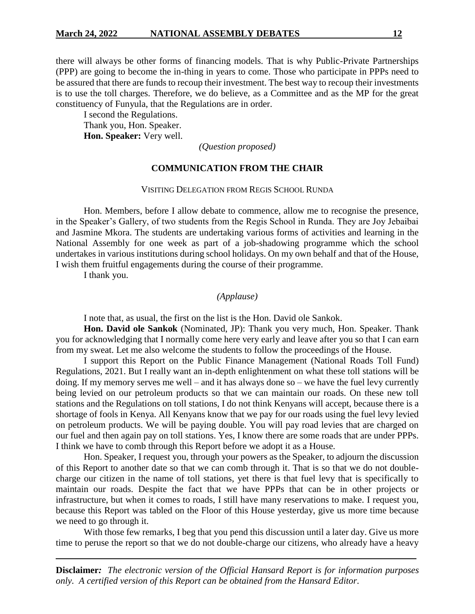there will always be other forms of financing models. That is why Public-Private Partnerships (PPP) are going to become the in-thing in years to come. Those who participate in PPPs need to be assured that there are funds to recoup their investment. The best way to recoup their investments is to use the toll charges. Therefore, we do believe, as a Committee and as the MP for the great constituency of Funyula, that the Regulations are in order.

I second the Regulations. Thank you, Hon. Speaker. **Hon. Speaker:** Very well.

*(Question proposed)*

## **COMMUNICATION FROM THE CHAIR**

#### VISITING DELEGATION FROM REGIS SCHOOL RUNDA

Hon. Members, before I allow debate to commence, allow me to recognise the presence, in the Speaker's Gallery, of two students from the Regis School in Runda. They are Joy Jebaibai and Jasmine Mkora. The students are undertaking various forms of activities and learning in the National Assembly for one week as part of a job-shadowing programme which the school undertakes in various institutions during school holidays. On my own behalf and that of the House, I wish them fruitful engagements during the course of their programme.

I thank you.

*(Applause)*

I note that, as usual, the first on the list is the Hon. David ole Sankok.

**Hon. David ole Sankok** (Nominated, JP): Thank you very much, Hon. Speaker. Thank you for acknowledging that I normally come here very early and leave after you so that I can earn from my sweat. Let me also welcome the students to follow the proceedings of the House.

I support this Report on the Public Finance Management (National Roads Toll Fund) Regulations, 2021. But I really want an in-depth enlightenment on what these toll stations will be doing. If my memory serves me well – and it has always done so – we have the fuel levy currently being levied on our petroleum products so that we can maintain our roads. On these new toll stations and the Regulations on toll stations, I do not think Kenyans will accept, because there is a shortage of fools in Kenya. All Kenyans know that we pay for our roads using the fuel levy levied on petroleum products. We will be paying double. You will pay road levies that are charged on our fuel and then again pay on toll stations. Yes, I know there are some roads that are under PPPs. I think we have to comb through this Report before we adopt it as a House.

Hon. Speaker, I request you, through your powers as the Speaker, to adjourn the discussion of this Report to another date so that we can comb through it. That is so that we do not doublecharge our citizen in the name of toll stations, yet there is that fuel levy that is specifically to maintain our roads. Despite the fact that we have PPPs that can be in other projects or infrastructure, but when it comes to roads, I still have many reservations to make. I request you, because this Report was tabled on the Floor of this House yesterday, give us more time because we need to go through it.

With those few remarks, I beg that you pend this discussion until a later day. Give us more time to peruse the report so that we do not double-charge our citizens, who already have a heavy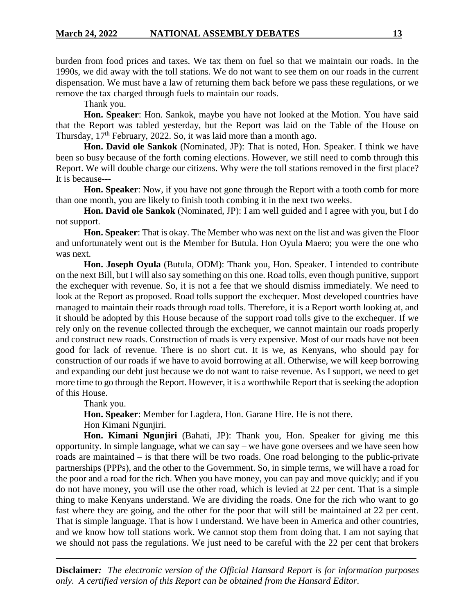burden from food prices and taxes. We tax them on fuel so that we maintain our roads. In the 1990s, we did away with the toll stations. We do not want to see them on our roads in the current dispensation. We must have a law of returning them back before we pass these regulations, or we remove the tax charged through fuels to maintain our roads.

Thank you.

**Hon. Speaker**: Hon. Sankok, maybe you have not looked at the Motion. You have said that the Report was tabled yesterday, but the Report was laid on the Table of the House on Thursday,  $17<sup>th</sup>$  February, 2022. So, it was laid more than a month ago.

**Hon. David ole Sankok** (Nominated, JP): That is noted, Hon. Speaker. I think we have been so busy because of the forth coming elections. However, we still need to comb through this Report. We will double charge our citizens. Why were the toll stations removed in the first place? It is because---

**Hon. Speaker**: Now, if you have not gone through the Report with a tooth comb for more than one month, you are likely to finish tooth combing it in the next two weeks.

**Hon. David ole Sankok** (Nominated, JP): I am well guided and I agree with you, but I do not support.

**Hon. Speaker**: That is okay. The Member who was next on the list and was given the Floor and unfortunately went out is the Member for Butula. Hon Oyula Maero; you were the one who was next.

**Hon. Joseph Oyula** (Butula, ODM): Thank you, Hon. Speaker. I intended to contribute on the next Bill, but I will also say something on this one. Road tolls, even though punitive, support the exchequer with revenue. So, it is not a fee that we should dismiss immediately. We need to look at the Report as proposed. Road tolls support the exchequer. Most developed countries have managed to maintain their roads through road tolls. Therefore, it is a Report worth looking at, and it should be adopted by this House because of the support road tolls give to the exchequer. If we rely only on the revenue collected through the exchequer, we cannot maintain our roads properly and construct new roads. Construction of roads is very expensive. Most of our roads have not been good for lack of revenue. There is no short cut. It is we, as Kenyans, who should pay for construction of our roads if we have to avoid borrowing at all. Otherwise, we will keep borrowing and expanding our debt just because we do not want to raise revenue. As I support, we need to get more time to go through the Report. However, it is a worthwhile Report that is seeking the adoption of this House.

Thank you.

**Hon. Speaker**: Member for Lagdera, Hon. Garane Hire. He is not there.

Hon Kimani Ngunjiri.

**Hon. Kimani Ngunjiri** (Bahati, JP): Thank you, Hon. Speaker for giving me this opportunity. In simple language, what we can say – we have gone oversees and we have seen how roads are maintained – is that there will be two roads. One road belonging to the public-private partnerships (PPPs), and the other to the Government. So, in simple terms, we will have a road for the poor and a road for the rich. When you have money, you can pay and move quickly; and if you do not have money, you will use the other road, which is levied at 22 per cent. That is a simple thing to make Kenyans understand. We are dividing the roads. One for the rich who want to go fast where they are going, and the other for the poor that will still be maintained at 22 per cent. That is simple language. That is how I understand. We have been in America and other countries, and we know how toll stations work. We cannot stop them from doing that. I am not saying that we should not pass the regulations. We just need to be careful with the 22 per cent that brokers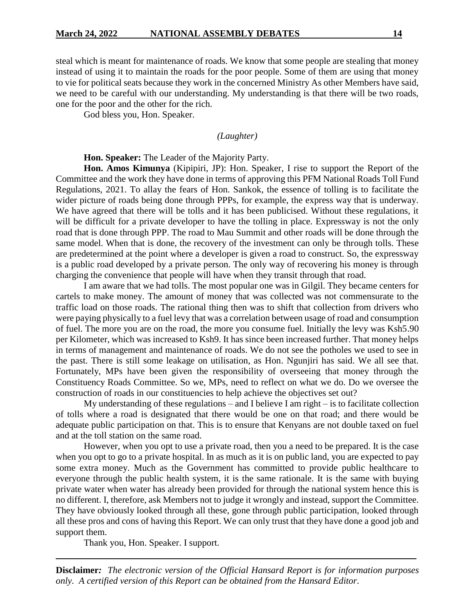steal which is meant for maintenance of roads. We know that some people are stealing that money instead of using it to maintain the roads for the poor people. Some of them are using that money to vie for political seats because they work in the concerned Ministry As other Members have said, we need to be careful with our understanding. My understanding is that there will be two roads, one for the poor and the other for the rich.

God bless you, Hon. Speaker.

*(Laughter)*

**Hon. Speaker:** The Leader of the Majority Party.

**Hon. Amos Kimunya** (Kipipiri, JP): Hon. Speaker, I rise to support the Report of the Committee and the work they have done in terms of approving this PFM National Roads Toll Fund Regulations, 2021. To allay the fears of Hon. Sankok, the essence of tolling is to facilitate the wider picture of roads being done through PPPs, for example, the express way that is underway. We have agreed that there will be tolls and it has been publicised. Without these regulations, it will be difficult for a private developer to have the tolling in place. Expressway is not the only road that is done through PPP. The road to Mau Summit and other roads will be done through the same model. When that is done, the recovery of the investment can only be through tolls. These are predetermined at the point where a developer is given a road to construct. So, the expressway is a public road developed by a private person. The only way of recovering his money is through charging the convenience that people will have when they transit through that road.

I am aware that we had tolls. The most popular one was in Gilgil. They became centers for cartels to make money. The amount of money that was collected was not commensurate to the traffic load on those roads. The rational thing then was to shift that collection from drivers who were paying physically to a fuel levy that was a correlation between usage of road and consumption of fuel. The more you are on the road, the more you consume fuel. Initially the levy was Ksh5.90 per Kilometer, which was increased to Ksh9. It has since been increased further. That money helps in terms of management and maintenance of roads. We do not see the potholes we used to see in the past. There is still some leakage on utilisation, as Hon. Ngunjiri has said. We all see that. Fortunately, MPs have been given the responsibility of overseeing that money through the Constituency Roads Committee. So we, MPs, need to reflect on what we do. Do we oversee the construction of roads in our constituencies to help achieve the objectives set out?

My understanding of these regulations – and I believe I am right – is to facilitate collection of tolls where a road is designated that there would be one on that road; and there would be adequate public participation on that. This is to ensure that Kenyans are not double taxed on fuel and at the toll station on the same road.

However, when you opt to use a private road, then you a need to be prepared. It is the case when you opt to go to a private hospital. In as much as it is on public land, you are expected to pay some extra money. Much as the Government has committed to provide public healthcare to everyone through the public health system, it is the same rationale. It is the same with buying private water when water has already been provided for through the national system hence this is no different. I, therefore, ask Members not to judge it wrongly and instead, support the Committee. They have obviously looked through all these, gone through public participation, looked through all these pros and cons of having this Report. We can only trust that they have done a good job and support them.

Thank you, Hon. Speaker. I support.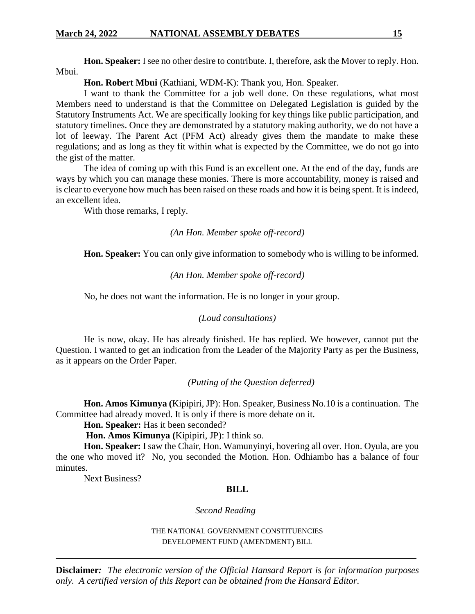## **March 24, 2022 NATIONAL ASSEMBLY DEBATES 15**

**Hon. Speaker:** I see no other desire to contribute. I, therefore, ask the Mover to reply. Hon. Mbui.

## **Hon. Robert Mbui** (Kathiani, WDM-K): Thank you, Hon. Speaker.

I want to thank the Committee for a job well done. On these regulations, what most Members need to understand is that the Committee on Delegated Legislation is guided by the Statutory Instruments Act. We are specifically looking for key things like public participation, and statutory timelines. Once they are demonstrated by a statutory making authority, we do not have a lot of leeway. The Parent Act (PFM Act) already gives them the mandate to make these regulations; and as long as they fit within what is expected by the Committee, we do not go into the gist of the matter.

The idea of coming up with this Fund is an excellent one. At the end of the day, funds are ways by which you can manage these monies. There is more accountability, money is raised and is clear to everyone how much has been raised on these roads and how it is being spent. It is indeed, an excellent idea.

With those remarks, I reply.

*(An Hon. Member spoke off-record)*

**Hon. Speaker:** You can only give information to somebody who is willing to be informed.

### *(An Hon. Member spoke off-record)*

No, he does not want the information. He is no longer in your group.

#### *(Loud consultations)*

He is now, okay. He has already finished. He has replied. We however, cannot put the Question. I wanted to get an indication from the Leader of the Majority Party as per the Business, as it appears on the Order Paper.

## *(Putting of the Question deferred)*

**Hon. Amos Kimunya (**Kipipiri, JP): Hon. Speaker, Business No.10 is a continuation. The Committee had already moved. It is only if there is more debate on it.

**Hon. Speaker:** Has it been seconded?

**Hon. Amos Kimunya (**Kipipiri, JP): I think so.

**Hon. Speaker:** I saw the Chair, Hon. Wamunyinyi, hovering all over. Hon. Oyula, are you the one who moved it? No, you seconded the Motion. Hon. Odhiambo has a balance of four minutes.

Next Business?

## **BILL**

#### *Second Reading*

THE NATIONAL GOVERNMENT CONSTITUENCIES DEVELOPMENT FUND (AMENDMENT) BILL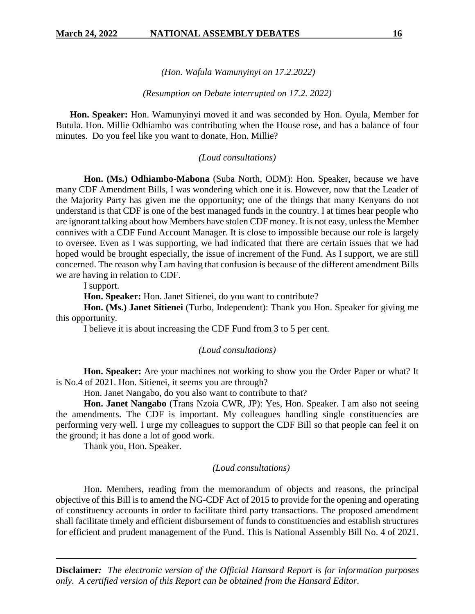*(Hon. Wafula Wamunyinyi on 17.2.2022)*

## *(Resumption on Debate interrupted on 17.2. 2022)*

**Hon. Speaker:** Hon. Wamunyinyi moved it and was seconded by Hon. Oyula, Member for Butula. Hon. Millie Odhiambo was contributing when the House rose, and has a balance of four minutes. Do you feel like you want to donate, Hon. Millie?

## *(Loud consultations)*

**Hon. (Ms.) Odhiambo-Mabona** (Suba North, ODM): Hon. Speaker, because we have many CDF Amendment Bills, I was wondering which one it is. However, now that the Leader of the Majority Party has given me the opportunity; one of the things that many Kenyans do not understand is that CDF is one of the best managed funds in the country. I at times hear people who are ignorant talking about how Members have stolen CDF money. It is not easy, unless the Member connives with a CDF Fund Account Manager. It is close to impossible because our role is largely to oversee. Even as I was supporting, we had indicated that there are certain issues that we had hoped would be brought especially, the issue of increment of the Fund. As I support, we are still concerned. The reason why I am having that confusion is because of the different amendment Bills we are having in relation to CDF.

I support.

**Hon. Speaker:** Hon. Janet Sitienei, do you want to contribute?

**Hon. (Ms.) Janet Sitienei** (Turbo, Independent): Thank you Hon. Speaker for giving me this opportunity.

I believe it is about increasing the CDF Fund from 3 to 5 per cent.

## *(Loud consultations)*

**Hon. Speaker:** Are your machines not working to show you the Order Paper or what? It is No.4 of 2021. Hon. Sitienei, it seems you are through?

Hon. Janet Nangabo, do you also want to contribute to that?

**Hon. Janet Nangabo** (Trans Nzoia CWR, JP): Yes, Hon. Speaker. I am also not seeing the amendments. The CDF is important. My colleagues handling single constituencies are performing very well. I urge my colleagues to support the CDF Bill so that people can feel it on the ground; it has done a lot of good work.

Thank you, Hon. Speaker.

## *(Loud consultations)*

Hon. Members, reading from the memorandum of objects and reasons, the principal objective of this Bill is to amend the NG-CDF Act of 2015 to provide for the opening and operating of constituency accounts in order to facilitate third party transactions. The proposed amendment shall facilitate timely and efficient disbursement of funds to constituencies and establish structures for efficient and prudent management of the Fund. This is National Assembly Bill No. 4 of 2021.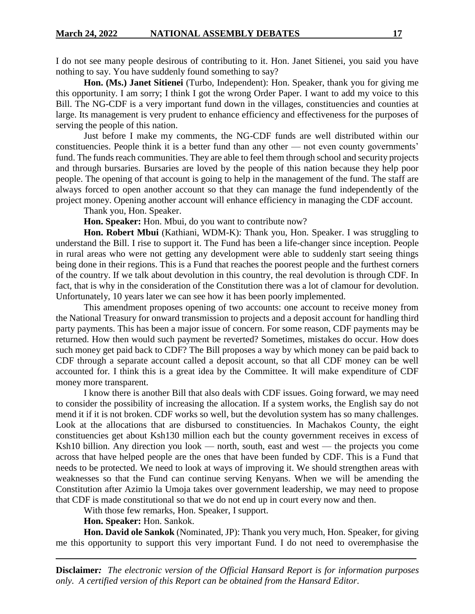I do not see many people desirous of contributing to it. Hon. Janet Sitienei, you said you have nothing to say. You have suddenly found something to say?

**Hon. (Ms.) Janet Sitienei** (Turbo, Independent): Hon. Speaker, thank you for giving me this opportunity. I am sorry; I think I got the wrong Order Paper. I want to add my voice to this Bill. The NG-CDF is a very important fund down in the villages, constituencies and counties at large. Its management is very prudent to enhance efficiency and effectiveness for the purposes of serving the people of this nation.

Just before I make my comments, the NG-CDF funds are well distributed within our constituencies. People think it is a better fund than any other — not even county governments' fund. The funds reach communities. They are able to feel them through school and security projects and through bursaries. Bursaries are loved by the people of this nation because they help poor people. The opening of that account is going to help in the management of the fund. The staff are always forced to open another account so that they can manage the fund independently of the project money. Opening another account will enhance efficiency in managing the CDF account.

Thank you, Hon. Speaker.

**Hon. Speaker:** Hon. Mbui, do you want to contribute now?

**Hon. Robert Mbui** (Kathiani, WDM-K): Thank you, Hon. Speaker. I was struggling to understand the Bill. I rise to support it. The Fund has been a life-changer since inception. People in rural areas who were not getting any development were able to suddenly start seeing things being done in their regions. This is a Fund that reaches the poorest people and the furthest corners of the country. If we talk about devolution in this country, the real devolution is through CDF. In fact, that is why in the consideration of the Constitution there was a lot of clamour for devolution. Unfortunately, 10 years later we can see how it has been poorly implemented.

This amendment proposes opening of two accounts: one account to receive money from the National Treasury for onward transmission to projects and a deposit account for handling third party payments. This has been a major issue of concern. For some reason, CDF payments may be returned. How then would such payment be reverted? Sometimes, mistakes do occur. How does such money get paid back to CDF? The Bill proposes a way by which money can be paid back to CDF through a separate account called a deposit account, so that all CDF money can be well accounted for. I think this is a great idea by the Committee. It will make expenditure of CDF money more transparent.

I know there is another Bill that also deals with CDF issues. Going forward, we may need to consider the possibility of increasing the allocation. If a system works, the English say do not mend it if it is not broken. CDF works so well, but the devolution system has so many challenges. Look at the allocations that are disbursed to constituencies. In Machakos County, the eight constituencies get about Ksh130 million each but the county government receives in excess of Ksh10 billion. Any direction you look — north, south, east and west — the projects you come across that have helped people are the ones that have been funded by CDF. This is a Fund that needs to be protected. We need to look at ways of improving it. We should strengthen areas with weaknesses so that the Fund can continue serving Kenyans. When we will be amending the Constitution after Azimio la Umoja takes over government leadership, we may need to propose that CDF is made constitutional so that we do not end up in court every now and then.

With those few remarks, Hon. Speaker, I support.

**Hon. Speaker:** Hon. Sankok.

**Hon. David ole Sankok** (Nominated, JP): Thank you very much, Hon. Speaker, for giving me this opportunity to support this very important Fund. I do not need to overemphasise the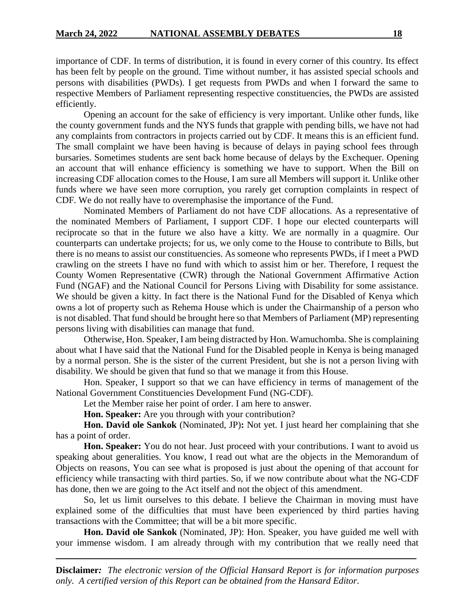importance of CDF. In terms of distribution, it is found in every corner of this country. Its effect has been felt by people on the ground. Time without number, it has assisted special schools and persons with disabilities (PWDs). I get requests from PWDs and when I forward the same to respective Members of Parliament representing respective constituencies, the PWDs are assisted efficiently.

Opening an account for the sake of efficiency is very important. Unlike other funds, like the county government funds and the NYS funds that grapple with pending bills, we have not had any complaints from contractors in projects carried out by CDF. It means this is an efficient fund. The small complaint we have been having is because of delays in paying school fees through bursaries. Sometimes students are sent back home because of delays by the Exchequer. Opening an account that will enhance efficiency is something we have to support. When the Bill on increasing CDF allocation comes to the House, I am sure all Members will support it. Unlike other funds where we have seen more corruption, you rarely get corruption complaints in respect of CDF. We do not really have to overemphasise the importance of the Fund.

Nominated Members of Parliament do not have CDF allocations. As a representative of the nominated Members of Parliament, I support CDF. I hope our elected counterparts will reciprocate so that in the future we also have a kitty. We are normally in a quagmire. Our counterparts can undertake projects; for us, we only come to the House to contribute to Bills, but there is no means to assist our constituencies. As someone who represents PWDs, if I meet a PWD crawling on the streets I have no fund with which to assist him or her. Therefore, I request the County Women Representative (CWR) through the National Government Affirmative Action Fund (NGAF) and the National Council for Persons Living with Disability for some assistance. We should be given a kitty. In fact there is the National Fund for the Disabled of Kenya which owns a lot of property such as Rehema House which is under the Chairmanship of a person who is not disabled. That fund should be brought here so that Members of Parliament (MP) representing persons living with disabilities can manage that fund.

Otherwise, Hon. Speaker, I am being distracted by Hon. Wamuchomba. She is complaining about what I have said that the National Fund for the Disabled people in Kenya is being managed by a normal person. She is the sister of the current President, but she is not a person living with disability. We should be given that fund so that we manage it from this House.

Hon. Speaker, I support so that we can have efficiency in terms of management of the National Government Constituencies Development Fund (NG-CDF).

Let the Member raise her point of order. I am here to answer.

**Hon. Speaker:** Are you through with your contribution?

**Hon. David ole Sankok** (Nominated, JP)**:** Not yet. I just heard her complaining that she has a point of order.

**Hon. Speaker:** You do not hear. Just proceed with your contributions. I want to avoid us speaking about generalities. You know, I read out what are the objects in the Memorandum of Objects on reasons, You can see what is proposed is just about the opening of that account for efficiency while transacting with third parties. So, if we now contribute about what the NG-CDF has done, then we are going to the Act itself and not the object of this amendment.

So, let us limit ourselves to this debate. I believe the Chairman in moving must have explained some of the difficulties that must have been experienced by third parties having transactions with the Committee; that will be a bit more specific.

**Hon. David ole Sankok** (Nominated, JP): Hon. Speaker, you have guided me well with your immense wisdom. I am already through with my contribution that we really need that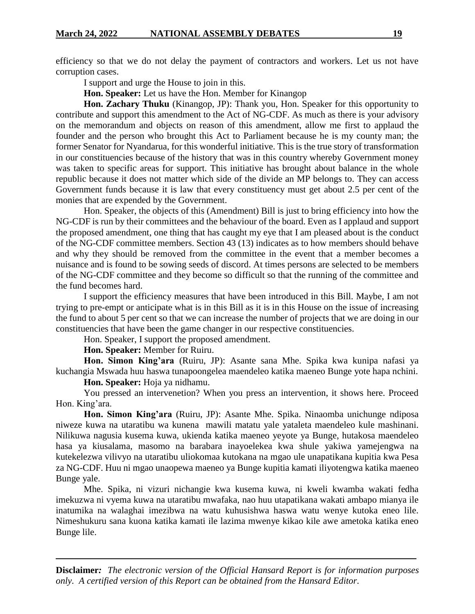efficiency so that we do not delay the payment of contractors and workers. Let us not have corruption cases.

I support and urge the House to join in this.

**Hon. Speaker:** Let us have the Hon. Member for Kinangop

**Hon. Zachary Thuku** (Kinangop, JP): Thank you, Hon. Speaker for this opportunity to contribute and support this amendment to the Act of NG-CDF. As much as there is your advisory on the memorandum and objects on reason of this amendment, allow me first to applaud the founder and the person who brought this Act to Parliament because he is my county man; the former Senator for Nyandarua, for this wonderful initiative. This is the true story of transformation in our constituencies because of the history that was in this country whereby Government money was taken to specific areas for support. This initiative has brought about balance in the whole republic because it does not matter which side of the divide an MP belongs to. They can access Government funds because it is law that every constituency must get about 2.5 per cent of the monies that are expended by the Government.

Hon. Speaker, the objects of this (Amendment) Bill is just to bring efficiency into how the NG-CDF is run by their committees and the behaviour of the board. Even as I applaud and support the proposed amendment, one thing that has caught my eye that I am pleased about is the conduct of the NG-CDF committee members. Section 43 (13) indicates as to how members should behave and why they should be removed from the committee in the event that a member becomes a nuisance and is found to be sowing seeds of discord. At times persons are selected to be members of the NG-CDF committee and they become so difficult so that the running of the committee and the fund becomes hard.

I support the efficiency measures that have been introduced in this Bill. Maybe, I am not trying to pre-empt or anticipate what is in this Bill as it is in this House on the issue of increasing the fund to about 5 per cent so that we can increase the number of projects that we are doing in our constituencies that have been the game changer in our respective constituencies.

Hon. Speaker, I support the proposed amendment.

**Hon. Speaker:** Member for Ruiru.

**Hon. Simon King'ara** (Ruiru, JP): Asante sana Mhe. Spika kwa kunipa nafasi ya kuchangia Mswada huu haswa tunapoongelea maendeleo katika maeneo Bunge yote hapa nchini.

**Hon. Speaker:** Hoja ya nidhamu.

You pressed an intervenetion? When you press an intervention, it shows here. Proceed Hon. King'ara.

**Hon. Simon King'ara** (Ruiru, JP): Asante Mhe. Spika. Ninaomba unichunge ndiposa niweze kuwa na utaratibu wa kunena mawili matatu yale yataleta maendeleo kule mashinani. Nilikuwa nagusia kusema kuwa, ukienda katika maeneo yeyote ya Bunge, hutakosa maendeleo hasa ya kiusalama, masomo na barabara inayoelekea kwa shule yakiwa yamejengwa na kutekelezwa vilivyo na utaratibu uliokomaa kutokana na mgao ule unapatikana kupitia kwa Pesa za NG-CDF. Huu ni mgao unaopewa maeneo ya Bunge kupitia kamati iliyotengwa katika maeneo Bunge yale.

Mhe. Spika, ni vizuri nichangie kwa kusema kuwa, ni kweli kwamba wakati fedha imekuzwa ni vyema kuwa na utaratibu mwafaka, nao huu utapatikana wakati ambapo mianya ile inatumika na walaghai imezibwa na watu kuhusishwa haswa watu wenye kutoka eneo lile. Nimeshukuru sana kuona katika kamati ile lazima mwenye kikao kile awe ametoka katika eneo Bunge lile.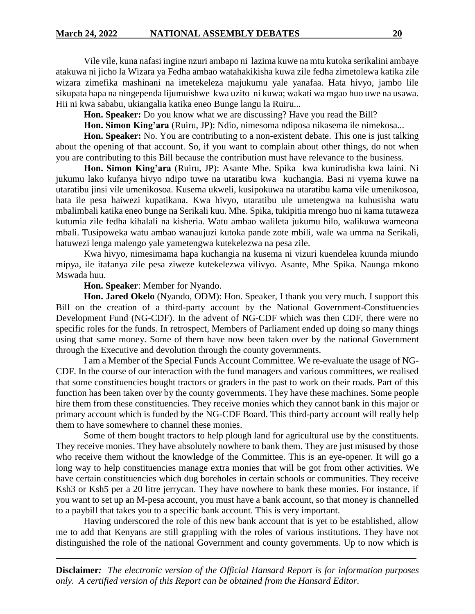Vile vile, kuna nafasi ingine nzuri ambapo ni lazima kuwe na mtu kutoka serikalini ambaye atakuwa ni jicho la Wizara ya Fedha ambao watahakikisha kuwa zile fedha zimetolewa katika zile wizara zimefika mashinani na imetekeleza majukumu yale yanafaa. Hata hivyo, jambo lile sikupata hapa na ningependa lijumuishwe kwa uzito ni kuwa; wakati wa mgao huo uwe na usawa. Hii ni kwa sababu, ukiangalia katika eneo Bunge langu la Ruiru...

**Hon. Speaker:** Do you know what we are discussing? Have you read the Bill?

**Hon. Simon King'ara** (Ruiru, JP): Ndio, nimesoma ndiposa nikasema ile nimekosa...

**Hon. Speaker:** No. You are contributing to a non-existent debate. This one is just talking about the opening of that account. So, if you want to complain about other things, do not when you are contributing to this Bill because the contribution must have relevance to the business.

**Hon. Simon King'ara** (Ruiru, JP): Asante Mhe. Spika kwa kunirudisha kwa laini. Ni jukumu lako kufanya hivyo ndipo tuwe na utaratibu kwa kuchangia. Basi ni vyema kuwe na utaratibu jinsi vile umenikosoa. Kusema ukweli, kusipokuwa na utaratibu kama vile umenikosoa, hata ile pesa haiwezi kupatikana. Kwa hivyo, utaratibu ule umetengwa na kuhusisha watu mbalimbali katika eneo bunge na Serikali kuu. Mhe. Spika, tukipitia mrengo huo ni kama tutaweza kutumia zile fedha kihalali na kisheria. Watu ambao walileta jukumu hilo, walikuwa wameona mbali. Tusipoweka watu ambao wanaujuzi kutoka pande zote mbili, wale wa umma na Serikali, hatuwezi lenga malengo yale yametengwa kutekelezwa na pesa zile.

Kwa hivyo, nimesimama hapa kuchangia na kusema ni vizuri kuendelea kuunda miundo mipya, ile itafanya zile pesa ziweze kutekelezwa vilivyo. Asante, Mhe Spika. Naunga mkono Mswada huu.

## **Hon. Speaker**: Member for Nyando.

**Hon. Jared Okelo** (Nyando, ODM): Hon. Speaker, I thank you very much. I support this Bill on the creation of a third-party account by the National Government-Constituencies Development Fund (NG-CDF). In the advent of NG-CDF which was then CDF, there were no specific roles for the funds. In retrospect, Members of Parliament ended up doing so many things using that same money. Some of them have now been taken over by the national Government through the Executive and devolution through the county governments.

I am a Member of the Special Funds Account Committee. We re-evaluate the usage of NG-CDF. In the course of our interaction with the fund managers and various committees, we realised that some constituencies bought tractors or graders in the past to work on their roads. Part of this function has been taken over by the county governments. They have these machines. Some people hire them from these constituencies. They receive monies which they cannot bank in this major or primary account which is funded by the NG-CDF Board. This third-party account will really help them to have somewhere to channel these monies.

Some of them bought tractors to help plough land for agricultural use by the constituents. They receive monies. They have absolutely nowhere to bank them. They are just misused by those who receive them without the knowledge of the Committee. This is an eye-opener. It will go a long way to help constituencies manage extra monies that will be got from other activities. We have certain constituencies which dug boreholes in certain schools or communities. They receive Ksh3 or Ksh5 per a 20 litre jerrycan. They have nowhere to bank these monies. For instance, if you want to set up an M-pesa account, you must have a bank account, so that money is channelled to a paybill that takes you to a specific bank account. This is very important.

Having underscored the role of this new bank account that is yet to be established, allow me to add that Kenyans are still grappling with the roles of various institutions. They have not distinguished the role of the national Government and county governments. Up to now which is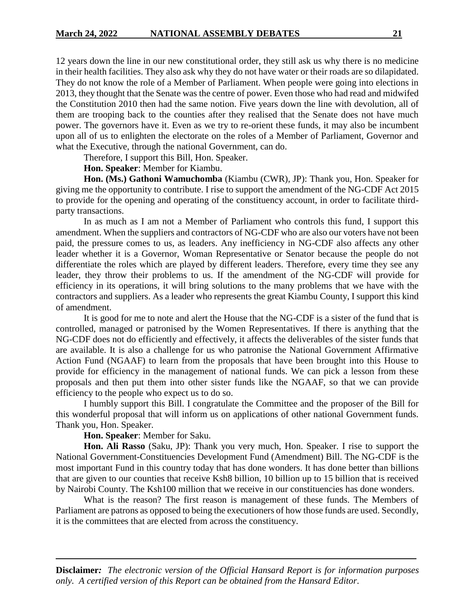12 years down the line in our new constitutional order, they still ask us why there is no medicine in their health facilities. They also ask why they do not have water or their roads are so dilapidated. They do not know the role of a Member of Parliament. When people were going into elections in 2013, they thought that the Senate was the centre of power. Even those who had read and midwifed the Constitution 2010 then had the same notion. Five years down the line with devolution, all of them are trooping back to the counties after they realised that the Senate does not have much power. The governors have it. Even as we try to re-orient these funds, it may also be incumbent upon all of us to enlighten the electorate on the roles of a Member of Parliament, Governor and what the Executive, through the national Government, can do.

Therefore, I support this Bill, Hon. Speaker.

**Hon. Speaker**: Member for Kiambu.

**Hon. (Ms.) Gathoni Wamuchomba** (Kiambu (CWR), JP): Thank you, Hon. Speaker for giving me the opportunity to contribute. I rise to support the amendment of the NG-CDF Act 2015 to provide for the opening and operating of the constituency account, in order to facilitate thirdparty transactions.

In as much as I am not a Member of Parliament who controls this fund, I support this amendment. When the suppliers and contractors of NG-CDF who are also our voters have not been paid, the pressure comes to us, as leaders. Any inefficiency in NG-CDF also affects any other leader whether it is a Governor, Woman Representative or Senator because the people do not differentiate the roles which are played by different leaders. Therefore, every time they see any leader, they throw their problems to us. If the amendment of the NG-CDF will provide for efficiency in its operations, it will bring solutions to the many problems that we have with the contractors and suppliers. As a leader who represents the great Kiambu County, I support this kind of amendment.

It is good for me to note and alert the House that the NG-CDF is a sister of the fund that is controlled, managed or patronised by the Women Representatives. If there is anything that the NG-CDF does not do efficiently and effectively, it affects the deliverables of the sister funds that are available. It is also a challenge for us who patronise the National Government Affirmative Action Fund (NGAAF) to learn from the proposals that have been brought into this House to provide for efficiency in the management of national funds. We can pick a lesson from these proposals and then put them into other sister funds like the NGAAF, so that we can provide efficiency to the people who expect us to do so.

I humbly support this Bill. I congratulate the Committee and the proposer of the Bill for this wonderful proposal that will inform us on applications of other national Government funds. Thank you, Hon. Speaker.

**Hon. Speaker**: Member for Saku.

**Hon. Ali Rasso** (Saku, JP): Thank you very much, Hon. Speaker. I rise to support the National Government-Constituencies Development Fund (Amendment) Bill. The NG-CDF is the most important Fund in this country today that has done wonders. It has done better than billions that are given to our counties that receive Ksh8 billion, 10 billion up to 15 billion that is received by Nairobi County. The Ksh100 million that we receive in our constituencies has done wonders.

What is the reason? The first reason is management of these funds. The Members of Parliament are patrons as opposed to being the executioners of how those funds are used. Secondly, it is the committees that are elected from across the constituency.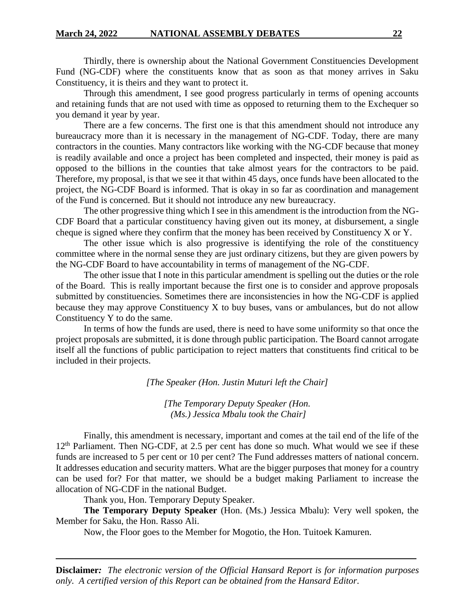Thirdly, there is ownership about the National Government Constituencies Development Fund (NG-CDF) where the constituents know that as soon as that money arrives in Saku Constituency, it is theirs and they want to protect it.

Through this amendment, I see good progress particularly in terms of opening accounts and retaining funds that are not used with time as opposed to returning them to the Exchequer so you demand it year by year.

There are a few concerns. The first one is that this amendment should not introduce any bureaucracy more than it is necessary in the management of NG-CDF. Today, there are many contractors in the counties. Many contractors like working with the NG-CDF because that money is readily available and once a project has been completed and inspected, their money is paid as opposed to the billions in the counties that take almost years for the contractors to be paid. Therefore, my proposal, is that we see it that within 45 days, once funds have been allocated to the project, the NG-CDF Board is informed. That is okay in so far as coordination and management of the Fund is concerned. But it should not introduce any new bureaucracy.

The other progressive thing which I see in this amendment is the introduction from the NG-CDF Board that a particular constituency having given out its money, at disbursement, a single cheque is signed where they confirm that the money has been received by Constituency X or Y.

The other issue which is also progressive is identifying the role of the constituency committee where in the normal sense they are just ordinary citizens, but they are given powers by the NG-CDF Board to have accountability in terms of management of the NG-CDF.

The other issue that I note in this particular amendment is spelling out the duties or the role of the Board. This is really important because the first one is to consider and approve proposals submitted by constituencies. Sometimes there are inconsistencies in how the NG-CDF is applied because they may approve Constituency X to buy buses, vans or ambulances, but do not allow Constituency Y to do the same.

In terms of how the funds are used, there is need to have some uniformity so that once the project proposals are submitted, it is done through public participation. The Board cannot arrogate itself all the functions of public participation to reject matters that constituents find critical to be included in their projects.

*[The Speaker (Hon. Justin Muturi left the Chair]*

*[The Temporary Deputy Speaker (Hon. (Ms.) Jessica Mbalu took the Chair]*

Finally, this amendment is necessary, important and comes at the tail end of the life of the 12<sup>th</sup> Parliament. Then NG-CDF, at 2.5 per cent has done so much. What would we see if these funds are increased to 5 per cent or 10 per cent? The Fund addresses matters of national concern. It addresses education and security matters. What are the bigger purposes that money for a country can be used for? For that matter, we should be a budget making Parliament to increase the allocation of NG-CDF in the national Budget.

Thank you, Hon. Temporary Deputy Speaker.

**The Temporary Deputy Speaker** (Hon. (Ms.) Jessica Mbalu): Very well spoken, the Member for Saku, the Hon. Rasso Ali.

Now, the Floor goes to the Member for Mogotio, the Hon. Tuitoek Kamuren.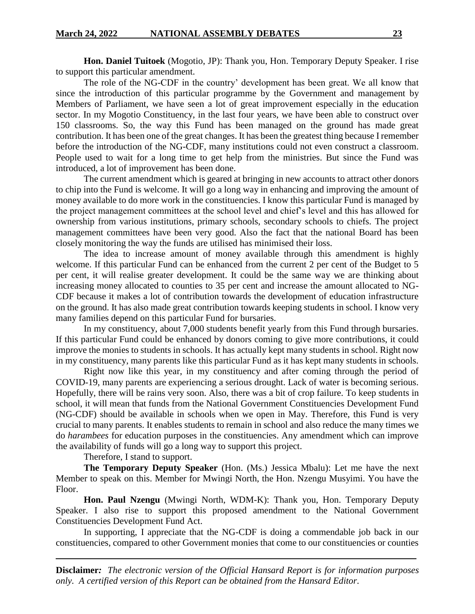**Hon. Daniel Tuitoek** (Mogotio, JP): Thank you, Hon. Temporary Deputy Speaker. I rise to support this particular amendment.

The role of the NG-CDF in the country' development has been great. We all know that since the introduction of this particular programme by the Government and management by Members of Parliament, we have seen a lot of great improvement especially in the education sector. In my Mogotio Constituency, in the last four years, we have been able to construct over 150 classrooms. So, the way this Fund has been managed on the ground has made great contribution. It has been one of the great changes. It has been the greatest thing because I remember before the introduction of the NG-CDF, many institutions could not even construct a classroom. People used to wait for a long time to get help from the ministries. But since the Fund was introduced, a lot of improvement has been done.

The current amendment which is geared at bringing in new accounts to attract other donors to chip into the Fund is welcome. It will go a long way in enhancing and improving the amount of money available to do more work in the constituencies. I know this particular Fund is managed by the project management committees at the school level and chief's level and this has allowed for ownership from various institutions, primary schools, secondary schools to chiefs. The project management committees have been very good. Also the fact that the national Board has been closely monitoring the way the funds are utilised has minimised their loss.

The idea to increase amount of money available through this amendment is highly welcome. If this particular Fund can be enhanced from the current 2 per cent of the Budget to 5 per cent, it will realise greater development. It could be the same way we are thinking about increasing money allocated to counties to 35 per cent and increase the amount allocated to NG-CDF because it makes a lot of contribution towards the development of education infrastructure on the ground. It has also made great contribution towards keeping students in school. I know very many families depend on this particular Fund for bursaries.

In my constituency, about 7,000 students benefit yearly from this Fund through bursaries. If this particular Fund could be enhanced by donors coming to give more contributions, it could improve the monies to students in schools. It has actually kept many students in school. Right now in my constituency, many parents like this particular Fund as it has kept many students in schools.

Right now like this year, in my constituency and after coming through the period of COVID-19, many parents are experiencing a serious drought. Lack of water is becoming serious. Hopefully, there will be rains very soon. Also, there was a bit of crop failure. To keep students in school, it will mean that funds from the National Government Constituencies Development Fund (NG-CDF) should be available in schools when we open in May. Therefore, this Fund is very crucial to many parents. It enables students to remain in school and also reduce the many times we do *harambees* for education purposes in the constituencies. Any amendment which can improve the availability of funds will go a long way to support this project.

Therefore, I stand to support.

**The Temporary Deputy Speaker** (Hon. (Ms.) Jessica Mbalu): Let me have the next Member to speak on this. Member for Mwingi North, the Hon. Nzengu Musyimi. You have the Floor.

**Hon. Paul Nzengu** (Mwingi North, WDM-K): Thank you, Hon. Temporary Deputy Speaker. I also rise to support this proposed amendment to the National Government Constituencies Development Fund Act.

In supporting, I appreciate that the NG-CDF is doing a commendable job back in our constituencies, compared to other Government monies that come to our constituencies or counties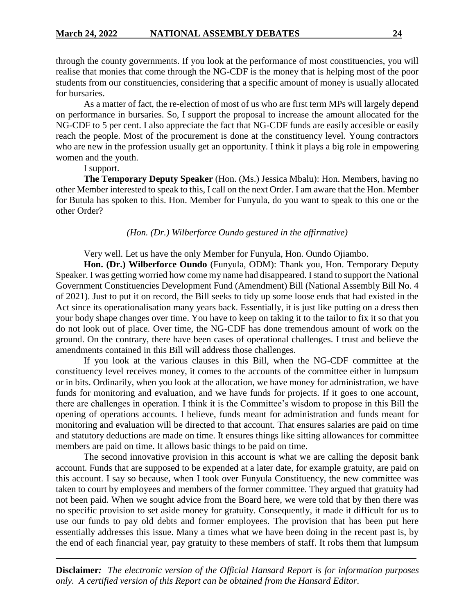through the county governments. If you look at the performance of most constituencies, you will realise that monies that come through the NG-CDF is the money that is helping most of the poor students from our constituencies, considering that a specific amount of money is usually allocated for bursaries.

As a matter of fact, the re-election of most of us who are first term MPs will largely depend on performance in bursaries. So, I support the proposal to increase the amount allocated for the NG-CDF to 5 per cent. I also appreciate the fact that NG-CDF funds are easily accesible or easily reach the people. Most of the procurement is done at the constituency level. Young contractors who are new in the profession usually get an opportunity. I think it plays a big role in empowering women and the youth.

I support.

**The Temporary Deputy Speaker** (Hon. (Ms.) Jessica Mbalu): Hon. Members, having no other Member interested to speak to this, I call on the next Order. I am aware that the Hon. Member for Butula has spoken to this. Hon. Member for Funyula, do you want to speak to this one or the other Order?

## *(Hon. (Dr.) Wilberforce Oundo gestured in the affirmative)*

Very well. Let us have the only Member for Funyula, Hon. Oundo Ojiambo.

**Hon. (Dr.) Wilberforce Oundo** (Funyula, ODM): Thank you, Hon. Temporary Deputy Speaker. I was getting worried how come my name had disappeared. I stand to support the National Government Constituencies Development Fund (Amendment) Bill (National Assembly Bill No. 4 of 2021). Just to put it on record, the Bill seeks to tidy up some loose ends that had existed in the Act since its operationalisation many years back. Essentially, it is just like putting on a dress then your body shape changes over time. You have to keep on taking it to the tailor to fix it so that you do not look out of place. Over time, the NG-CDF has done tremendous amount of work on the ground. On the contrary, there have been cases of operational challenges. I trust and believe the amendments contained in this Bill will address those challenges.

If you look at the various clauses in this Bill, when the NG-CDF committee at the constituency level receives money, it comes to the accounts of the committee either in lumpsum or in bits. Ordinarily, when you look at the allocation, we have money for administration, we have funds for monitoring and evaluation, and we have funds for projects. If it goes to one account, there are challenges in operation. I think it is the Committee's wisdom to propose in this Bill the opening of operations accounts. I believe, funds meant for administration and funds meant for monitoring and evaluation will be directed to that account. That ensures salaries are paid on time and statutory deductions are made on time. It ensures things like sitting allowances for committee members are paid on time. It allows basic things to be paid on time.

The second innovative provision in this account is what we are calling the deposit bank account. Funds that are supposed to be expended at a later date, for example gratuity, are paid on this account. I say so because, when I took over Funyula Constituency, the new committee was taken to court by employees and members of the former committee. They argued that gratuity had not been paid. When we sought advice from the Board here, we were told that by then there was no specific provision to set aside money for gratuity. Consequently, it made it difficult for us to use our funds to pay old debts and former employees. The provision that has been put here essentially addresses this issue. Many a times what we have been doing in the recent past is, by the end of each financial year, pay gratuity to these members of staff. It robs them that lumpsum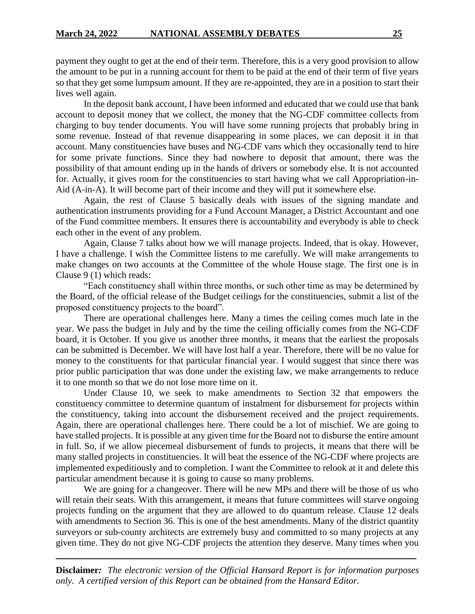payment they ought to get at the end of their term. Therefore, this is a very good provision to allow the amount to be put in a running account for them to be paid at the end of their term of five years so that they get some lumpsum amount. If they are re-appointed, they are in a position to start their lives well again.

In the deposit bank account, I have been informed and educated that we could use that bank account to deposit money that we collect, the money that the NG-CDF committee collects from charging to buy tender documents. You will have some running projects that probably bring in some revenue. Instead of that revenue disappearing in some places, we can deposit it in that account. Many constituencies have buses and NG-CDF vans which they occasionally tend to hire for some private functions. Since they had nowhere to deposit that amount, there was the possibility of that amount ending up in the hands of drivers or somebody else. It is not accounted for. Actually, it gives room for the constituencies to start having what we call Appropriation-in-Aid (A-in-A). It will become part of their income and they will put it somewhere else.

Again, the rest of Clause 5 basically deals with issues of the signing mandate and authentication instruments providing for a Fund Account Manager, a District Accountant and one of the Fund committee members. It ensures there is accountability and everybody is able to check each other in the event of any problem.

Again, Clause 7 talks about how we will manage projects. Indeed, that is okay. However, I have a challenge. I wish the Committee listens to me carefully. We will make arrangements to make changes on two accounts at the Committee of the whole House stage. The first one is in Clause 9 (1) which reads:

"Each constituency shall within three months, or such other time as may be determined by the Board, of the official release of the Budget ceilings for the constituencies, submit a list of the proposed constituency projects to the board".

There are operational challenges here. Many a times the ceiling comes much late in the year. We pass the budget in July and by the time the ceiling officially comes from the NG-CDF board, it is October. If you give us another three months, it means that the earliest the proposals can be submitted is December. We will have lost half a year. Therefore, there will be no value for money to the constituents for that particular financial year. I would suggest that since there was prior public participation that was done under the existing law, we make arrangements to reduce it to one month so that we do not lose more time on it.

Under Clause 10, we seek to make amendments to Section 32 that empowers the constituency committee to determine quantum of instalment for disbursement for projects within the constituency, taking into account the disbursement received and the project requirements. Again, there are operational challenges here. There could be a lot of mischief. We are going to have stalled projects. It is possible at any given time for the Board not to disburse the entire amount in full. So, if we allow piecemeal disbursement of funds to projects, it means that there will be many stalled projects in constituencies. It will beat the essence of the NG-CDF where projects are implemented expeditiously and to completion. I want the Committee to relook at it and delete this particular amendment because it is going to cause so many problems.

We are going for a changeover. There will be new MPs and there will be those of us who will retain their seats. With this arrangement, it means that future committees will starve ongoing projects funding on the argument that they are allowed to do quantum release. Clause 12 deals with amendments to Section 36. This is one of the best amendments. Many of the district quantity surveyors or sub-county architects are extremely busy and committed to so many projects at any given time. They do not give NG-CDF projects the attention they deserve. Many times when you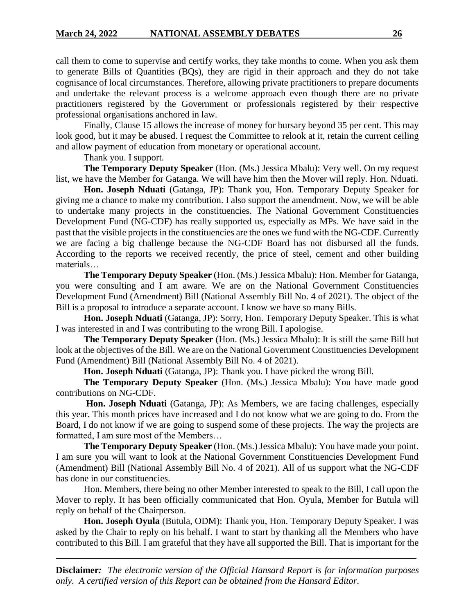call them to come to supervise and certify works, they take months to come. When you ask them to generate Bills of Quantities (BQs), they are rigid in their approach and they do not take cognisance of local circumstances. Therefore, allowing private practitioners to prepare documents and undertake the relevant process is a welcome approach even though there are no private practitioners registered by the Government or professionals registered by their respective professional organisations anchored in law.

Finally, Clause 15 allows the increase of money for bursary beyond 35 per cent. This may look good, but it may be abused. I request the Committee to relook at it, retain the current ceiling and allow payment of education from monetary or operational account.

Thank you. I support.

**The Temporary Deputy Speaker** (Hon. (Ms.) Jessica Mbalu): Very well. On my request list, we have the Member for Gatanga. We will have him then the Mover will reply. Hon. Nduati.

**Hon. Joseph Nduati** (Gatanga, JP): Thank you, Hon. Temporary Deputy Speaker for giving me a chance to make my contribution. I also support the amendment. Now, we will be able to undertake many projects in the constituencies. The National Government Constituencies Development Fund (NG-CDF) has really supported us, especially as MPs. We have said in the past that the visible projects in the constituencies are the ones we fund with the NG-CDF. Currently we are facing a big challenge because the NG-CDF Board has not disbursed all the funds. According to the reports we received recently, the price of steel, cement and other building materials…

**The Temporary Deputy Speaker** (Hon. (Ms.) Jessica Mbalu): Hon. Member for Gatanga, you were consulting and I am aware. We are on the National Government Constituencies Development Fund (Amendment) Bill (National Assembly Bill No. 4 of 2021). The object of the Bill is a proposal to introduce a separate account. I know we have so many Bills.

**Hon. Joseph Nduati** (Gatanga, JP): Sorry, Hon. Temporary Deputy Speaker. This is what I was interested in and I was contributing to the wrong Bill. I apologise.

**The Temporary Deputy Speaker** (Hon. (Ms.) Jessica Mbalu): It is still the same Bill but look at the objectives of the Bill. We are on the National Government Constituencies Development Fund (Amendment) Bill (National Assembly Bill No. 4 of 2021).

**Hon. Joseph Nduati** (Gatanga, JP): Thank you. I have picked the wrong Bill.

**The Temporary Deputy Speaker** (Hon. (Ms.) Jessica Mbalu): You have made good contributions on NG-CDF.

**Hon. Joseph Nduati** (Gatanga, JP): As Members, we are facing challenges, especially this year. This month prices have increased and I do not know what we are going to do. From the Board, I do not know if we are going to suspend some of these projects. The way the projects are formatted, I am sure most of the Members…

**The Temporary Deputy Speaker** (Hon. (Ms.) Jessica Mbalu): You have made your point. I am sure you will want to look at the National Government Constituencies Development Fund (Amendment) Bill (National Assembly Bill No. 4 of 2021). All of us support what the NG-CDF has done in our constituencies.

Hon. Members, there being no other Member interested to speak to the Bill, I call upon the Mover to reply. It has been officially communicated that Hon. Oyula, Member for Butula will reply on behalf of the Chairperson.

**Hon. Joseph Oyula** (Butula, ODM): Thank you, Hon. Temporary Deputy Speaker. I was asked by the Chair to reply on his behalf. I want to start by thanking all the Members who have contributed to this Bill. I am grateful that they have all supported the Bill. That is important for the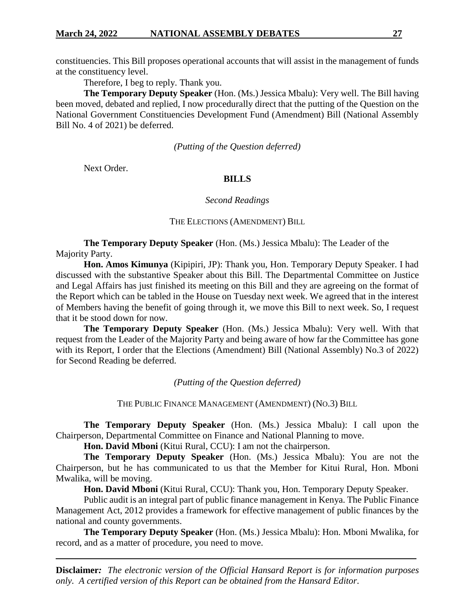constituencies. This Bill proposes operational accounts that will assist in the management of funds at the constituency level.

Therefore, I beg to reply. Thank you.

**The Temporary Deputy Speaker** (Hon. (Ms.) Jessica Mbalu): Very well. The Bill having been moved, debated and replied, I now procedurally direct that the putting of the Question on the National Government Constituencies Development Fund (Amendment) Bill (National Assembly Bill No. 4 of 2021) be deferred.

*(Putting of the Question deferred)*

Next Order.

# **BILLS**

## *Second Readings*

## THE ELECTIONS (AMENDMENT) BILL

**The Temporary Deputy Speaker** (Hon. (Ms.) Jessica Mbalu): The Leader of the Majority Party.

**Hon. Amos Kimunya** (Kipipiri, JP): Thank you, Hon. Temporary Deputy Speaker. I had discussed with the substantive Speaker about this Bill. The Departmental Committee on Justice and Legal Affairs has just finished its meeting on this Bill and they are agreeing on the format of the Report which can be tabled in the House on Tuesday next week. We agreed that in the interest of Members having the benefit of going through it, we move this Bill to next week. So, I request that it be stood down for now.

**The Temporary Deputy Speaker** (Hon. (Ms.) Jessica Mbalu): Very well. With that request from the Leader of the Majority Party and being aware of how far the Committee has gone with its Report, I order that the Elections (Amendment) Bill (National Assembly) No.3 of 2022) for Second Reading be deferred.

*(Putting of the Question deferred)*

THE PUBLIC FINANCE MANAGEMENT (AMENDMENT) (NO.3) BILL

**The Temporary Deputy Speaker** (Hon. (Ms.) Jessica Mbalu): I call upon the Chairperson, Departmental Committee on Finance and National Planning to move.

**Hon. David Mboni** (Kitui Rural, CCU): I am not the chairperson.

**The Temporary Deputy Speaker** (Hon. (Ms.) Jessica Mbalu): You are not the Chairperson, but he has communicated to us that the Member for Kitui Rural, Hon. Mboni Mwalika, will be moving.

**Hon. David Mboni** (Kitui Rural, CCU): Thank you, Hon. Temporary Deputy Speaker.

Public audit is an integral part of public finance management in Kenya. The Public Finance Management Act, 2012 provides a framework for effective management of public finances by the national and county governments.

**The Temporary Deputy Speaker** (Hon. (Ms.) Jessica Mbalu): Hon. Mboni Mwalika, for record, and as a matter of procedure, you need to move.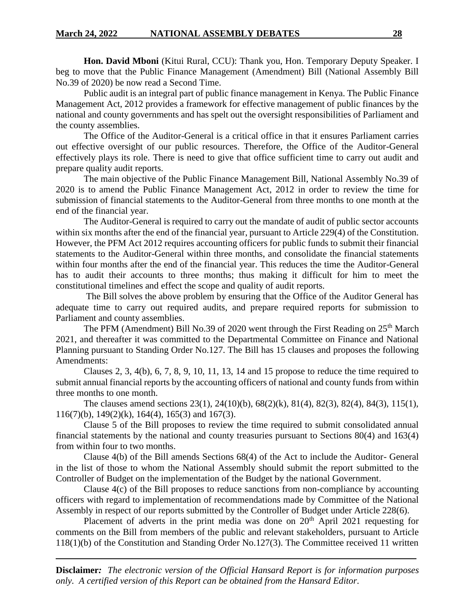**Hon. David Mboni** (Kitui Rural, CCU): Thank you, Hon. Temporary Deputy Speaker. I beg to move that the Public Finance Management (Amendment) Bill (National Assembly Bill No.39 of 2020) be now read a Second Time.

Public audit is an integral part of public finance management in Kenya. The Public Finance Management Act, 2012 provides a framework for effective management of public finances by the national and county governments and has spelt out the oversight responsibilities of Parliament and the county assemblies.

The Office of the Auditor-General is a critical office in that it ensures Parliament carries out effective oversight of our public resources. Therefore, the Office of the Auditor-General effectively plays its role. There is need to give that office sufficient time to carry out audit and prepare quality audit reports.

The main objective of the Public Finance Management Bill, National Assembly No.39 of 2020 is to amend the Public Finance Management Act, 2012 in order to review the time for submission of financial statements to the Auditor-General from three months to one month at the end of the financial year.

The Auditor-General is required to carry out the mandate of audit of public sector accounts within six months after the end of the financial year, pursuant to Article 229(4) of the Constitution. However, the PFM Act 2012 requires accounting officers for public funds to submit their financial statements to the Auditor-General within three months, and consolidate the financial statements within four months after the end of the financial year. This reduces the time the Auditor-General has to audit their accounts to three months; thus making it difficult for him to meet the constitutional timelines and effect the scope and quality of audit reports.

The Bill solves the above problem by ensuring that the Office of the Auditor General has adequate time to carry out required audits, and prepare required reports for submission to Parliament and county assemblies.

The PFM (Amendment) Bill No.39 of 2020 went through the First Reading on  $25<sup>th</sup>$  March 2021, and thereafter it was committed to the Departmental Committee on Finance and National Planning pursuant to Standing Order No.127. The Bill has 15 clauses and proposes the following Amendments:

Clauses 2, 3,  $4(b)$ , 6, 7, 8, 9, 10, 11, 13, 14 and 15 propose to reduce the time required to submit annual financial reports by the accounting officers of national and county funds from within three months to one month.

The clauses amend sections 23(1), 24(10)(b), 68(2)(k), 81(4), 82(3), 82(4), 84(3), 115(1), 116(7)(b), 149(2)(k), 164(4), 165(3) and 167(3).

Clause 5 of the Bill proposes to review the time required to submit consolidated annual financial statements by the national and county treasuries pursuant to Sections 80(4) and 163(4) from within four to two months.

Clause 4(b) of the Bill amends Sections 68(4) of the Act to include the Auditor- General in the list of those to whom the National Assembly should submit the report submitted to the Controller of Budget on the implementation of the Budget by the national Government.

Clause 4(c) of the Bill proposes to reduce sanctions from non-compliance by accounting officers with regard to implementation of recommendations made by Committee of the National Assembly in respect of our reports submitted by the Controller of Budget under Article 228(6).

Placement of adverts in the print media was done on 20<sup>th</sup> April 2021 requesting for comments on the Bill from members of the public and relevant stakeholders, pursuant to Article 118(1)(b) of the Constitution and Standing Order No.127(3). The Committee received 11 written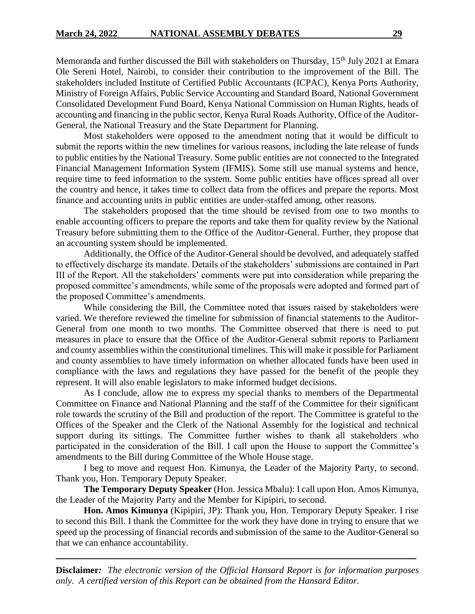Memoranda and further discussed the Bill with stakeholders on Thursday, 15<sup>th</sup> July 2021 at Emara Ole Sereni Hotel, Nairobi, to consider their contribution to the improvement of the Bill. The stakeholders included Institute of Certified Public Accountants (ICPAC), Kenya Ports Authority, Ministry of Foreign Affairs, Public Service Accounting and Standard Board, National Government Consolidated Development Fund Board, Kenya National Commission on Human Rights, heads of accounting and financing in the public sector, Kenya Rural Roads Authority, Office of the Auditor-General, the National Treasury and the State Department for Planning.

Most stakeholders were opposed to the amendment noting that it would be difficult to submit the reports within the new timelines for various reasons, including the late release of funds to public entities by the National Treasury. Some public entities are not connected to the Integrated Financial Management Information System (IFMIS). Some still use manual systems and hence, require time to feed information to the system. Some public entities have offices spread all over the country and hence, it takes time to collect data from the offices and prepare the reports. Most finance and accounting units in public entities are under-staffed among, other reasons.

The stakeholders proposed that the time should be revised from one to two months to enable accounting officers to prepare the reports and take them for quality review by the National Treasury before submitting them to the Office of the Auditor-General. Further, they propose that an accounting system should be implemented.

Additionally, the Office of the Auditor-General should be devolved, and adequately staffed to effectively discharge its mandate. Details of the stakeholders' submissions are contained in Part III of the Report. All the stakeholders' comments were put into consideration while preparing the proposed committee's amendments, while some of the proposals were adopted and formed part of the proposed Committee's amendments.

While considering the Bill, the Committee noted that issues raised by stakeholders were varied. We therefore reviewed the timeline for submission of financial statements to the Auditor-General from one month to two months. The Committee observed that there is need to put measures in place to ensure that the Office of the Auditor-General submit reports to Parliament and county assemblies within the constitutional timelines. This will make it possible for Parliament and county assemblies to have timely information on whether allocated funds have been used in compliance with the laws and regulations they have passed for the benefit of the people they represent. It will also enable legislators to make informed budget decisions.

As I conclude, allow me to express my special thanks to members of the Departmental Committee on Finance and National Planning and the staff of the Committee for their significant role towards the scrutiny of the Bill and production of the report. The Committee is grateful to the Offices of the Speaker and the Clerk of the National Assembly for the logistical and technical support during its sittings. The Committee further wishes to thank all stakeholders who participated in the consideration of the Bill. I call upon the House to support the Committee's amendments to the Bill during Committee of the Whole House stage.

I beg to move and request Hon. Kimunya, the Leader of the Majority Party, to second. Thank you, Hon. Temporary Deputy Speaker.

**The Temporary Deputy Speaker** (Hon. Jessica Mbalu): I call upon Hon. Amos Kimunya, the Leader of the Majority Party and the Member for Kipipiri, to second.

**Hon. Amos Kimunya** (Kipipiri, JP): Thank you, Hon. Temporary Deputy Speaker. I rise to second this Bill. I thank the Committee for the work they have done in trying to ensure that we speed up the processing of financial records and submission of the same to the Auditor-General so that we can enhance accountability.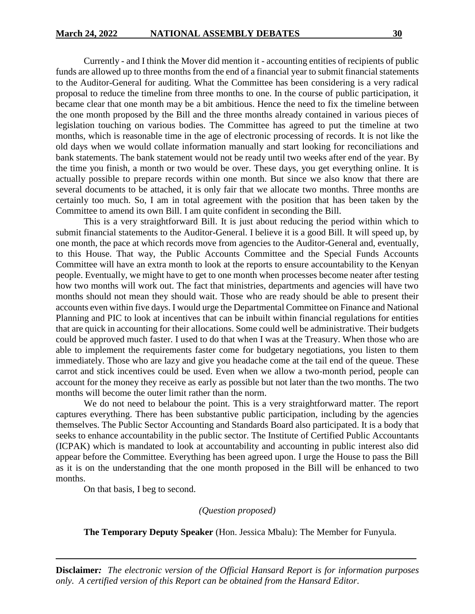Currently - and I think the Mover did mention it - accounting entities of recipients of public funds are allowed up to three months from the end of a financial year to submit financial statements to the Auditor-General for auditing. What the Committee has been considering is a very radical proposal to reduce the timeline from three months to one. In the course of public participation, it became clear that one month may be a bit ambitious. Hence the need to fix the timeline between the one month proposed by the Bill and the three months already contained in various pieces of legislation touching on various bodies. The Committee has agreed to put the timeline at two months, which is reasonable time in the age of electronic processing of records. It is not like the old days when we would collate information manually and start looking for reconciliations and bank statements. The bank statement would not be ready until two weeks after end of the year. By the time you finish, a month or two would be over. These days, you get everything online. It is actually possible to prepare records within one month. But since we also know that there are several documents to be attached, it is only fair that we allocate two months. Three months are certainly too much. So, I am in total agreement with the position that has been taken by the Committee to amend its own Bill. I am quite confident in seconding the Bill.

This is a very straightforward Bill. It is just about reducing the period within which to submit financial statements to the Auditor-General. I believe it is a good Bill. It will speed up, by one month, the pace at which records move from agencies to the Auditor-General and, eventually, to this House. That way, the Public Accounts Committee and the Special Funds Accounts Committee will have an extra month to look at the reports to ensure accountability to the Kenyan people. Eventually, we might have to get to one month when processes become neater after testing how two months will work out. The fact that ministries, departments and agencies will have two months should not mean they should wait. Those who are ready should be able to present their accounts even within five days. I would urge the Departmental Committee on Finance and National Planning and PIC to look at incentives that can be inbuilt within financial regulations for entities that are quick in accounting for their allocations. Some could well be administrative. Their budgets could be approved much faster. I used to do that when I was at the Treasury. When those who are able to implement the requirements faster come for budgetary negotiations, you listen to them immediately. Those who are lazy and give you headache come at the tail end of the queue. These carrot and stick incentives could be used. Even when we allow a two-month period, people can account for the money they receive as early as possible but not later than the two months. The two months will become the outer limit rather than the norm.

We do not need to belabour the point. This is a very straightforward matter. The report captures everything. There has been substantive public participation, including by the agencies themselves. The Public Sector Accounting and Standards Board also participated. It is a body that seeks to enhance accountability in the public sector. The Institute of Certified Public Accountants (ICPAK) which is mandated to look at accountability and accounting in public interest also did appear before the Committee. Everything has been agreed upon. I urge the House to pass the Bill as it is on the understanding that the one month proposed in the Bill will be enhanced to two months.

On that basis, I beg to second.

*(Question proposed)*

**The Temporary Deputy Speaker** (Hon. Jessica Mbalu): The Member for Funyula.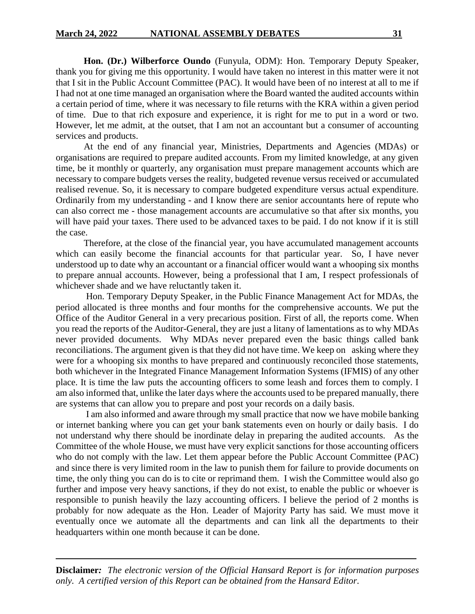**Hon. (Dr.) Wilberforce Oundo** (Funyula, ODM): Hon. Temporary Deputy Speaker, thank you for giving me this opportunity. I would have taken no interest in this matter were it not that I sit in the Public Account Committee (PAC). It would have been of no interest at all to me if I had not at one time managed an organisation where the Board wanted the audited accounts within a certain period of time, where it was necessary to file returns with the KRA within a given period of time. Due to that rich exposure and experience, it is right for me to put in a word or two. However, let me admit, at the outset, that I am not an accountant but a consumer of accounting services and products.

At the end of any financial year, Ministries, Departments and Agencies (MDAs) or organisations are required to prepare audited accounts. From my limited knowledge, at any given time, be it monthly or quarterly, any organisation must prepare management accounts which are necessary to compare budgets verses the reality, budgeted revenue versus received or accumulated realised revenue. So, it is necessary to compare budgeted expenditure versus actual expenditure. Ordinarily from my understanding - and I know there are senior accountants here of repute who can also correct me - those management accounts are accumulative so that after six months, you will have paid your taxes. There used to be advanced taxes to be paid. I do not know if it is still the case.

Therefore, at the close of the financial year, you have accumulated management accounts which can easily become the financial accounts for that particular year. So, I have never understood up to date why an accountant or a financial officer would want a whooping six months to prepare annual accounts. However, being a professional that I am, I respect professionals of whichever shade and we have reluctantly taken it.

Hon. Temporary Deputy Speaker, in the Public Finance Management Act for MDAs, the period allocated is three months and four months for the comprehensive accounts. We put the Office of the Auditor General in a very precarious position. First of all, the reports come. When you read the reports of the Auditor-General, they are just a litany of lamentations as to why MDAs never provided documents. Why MDAs never prepared even the basic things called bank reconciliations. The argument given is that they did not have time. We keep on asking where they were for a whooping six months to have prepared and continuously reconciled those statements, both whichever in the Integrated Finance Management Information Systems (IFMIS) of any other place. It is time the law puts the accounting officers to some leash and forces them to comply. I am also informed that, unlike the later days where the accounts used to be prepared manually, there are systems that can allow you to prepare and post your records on a daily basis.

I am also informed and aware through my small practice that now we have mobile banking or internet banking where you can get your bank statements even on hourly or daily basis. I do not understand why there should be inordinate delay in preparing the audited accounts. As the Committee of the whole House, we must have very explicit sanctions for those accounting officers who do not comply with the law. Let them appear before the Public Account Committee (PAC) and since there is very limited room in the law to punish them for failure to provide documents on time, the only thing you can do is to cite or reprimand them. I wish the Committee would also go further and impose very heavy sanctions, if they do not exist, to enable the public or whoever is responsible to punish heavily the lazy accounting officers. I believe the period of 2 months is probably for now adequate as the Hon. Leader of Majority Party has said. We must move it eventually once we automate all the departments and can link all the departments to their headquarters within one month because it can be done.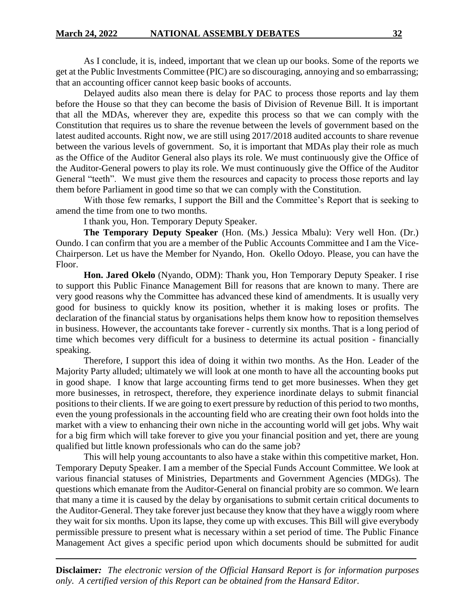As I conclude, it is, indeed, important that we clean up our books. Some of the reports we get at the Public Investments Committee (PIC) are so discouraging, annoying and so embarrassing; that an accounting officer cannot keep basic books of accounts.

Delayed audits also mean there is delay for PAC to process those reports and lay them before the House so that they can become the basis of Division of Revenue Bill. It is important that all the MDAs, wherever they are, expedite this process so that we can comply with the Constitution that requires us to share the revenue between the levels of government based on the latest audited accounts. Right now, we are still using 2017/2018 audited accounts to share revenue between the various levels of government. So, it is important that MDAs play their role as much as the Office of the Auditor General also plays its role. We must continuously give the Office of the Auditor-General powers to play its role. We must continuously give the Office of the Auditor General "teeth". We must give them the resources and capacity to process those reports and lay them before Parliament in good time so that we can comply with the Constitution.

With those few remarks, I support the Bill and the Committee's Report that is seeking to amend the time from one to two months.

I thank you, Hon. Temporary Deputy Speaker.

**The Temporary Deputy Speaker** (Hon. (Ms.) Jessica Mbalu): Very well Hon. (Dr.) Oundo. I can confirm that you are a member of the Public Accounts Committee and I am the Vice-Chairperson. Let us have the Member for Nyando, Hon. Okello Odoyo. Please, you can have the Floor.

**Hon. Jared Okelo** (Nyando, ODM): Thank you, Hon Temporary Deputy Speaker. I rise to support this Public Finance Management Bill for reasons that are known to many. There are very good reasons why the Committee has advanced these kind of amendments. It is usually very good for business to quickly know its position, whether it is making loses or profits. The declaration of the financial status by organisations helps them know how to reposition themselves in business. However, the accountants take forever - currently six months. That is a long period of time which becomes very difficult for a business to determine its actual position - financially speaking.

Therefore, I support this idea of doing it within two months. As the Hon. Leader of the Majority Party alluded; ultimately we will look at one month to have all the accounting books put in good shape. I know that large accounting firms tend to get more businesses. When they get more businesses, in retrospect, therefore, they experience inordinate delays to submit financial positions to their clients. If we are going to exert pressure by reduction of this period to two months, even the young professionals in the accounting field who are creating their own foot holds into the market with a view to enhancing their own niche in the accounting world will get jobs. Why wait for a big firm which will take forever to give you your financial position and yet, there are young qualified but little known professionals who can do the same job?

This will help young accountants to also have a stake within this competitive market, Hon. Temporary Deputy Speaker. I am a member of the Special Funds Account Committee. We look at various financial statuses of Ministries, Departments and Government Agencies (MDGs). The questions which emanate from the Auditor-General on financial probity are so common. We learn that many a time it is caused by the delay by organisations to submit certain critical documents to the Auditor-General. They take forever just because they know that they have a wiggly room where they wait for six months. Upon its lapse, they come up with excuses. This Bill will give everybody permissible pressure to present what is necessary within a set period of time. The Public Finance Management Act gives a specific period upon which documents should be submitted for audit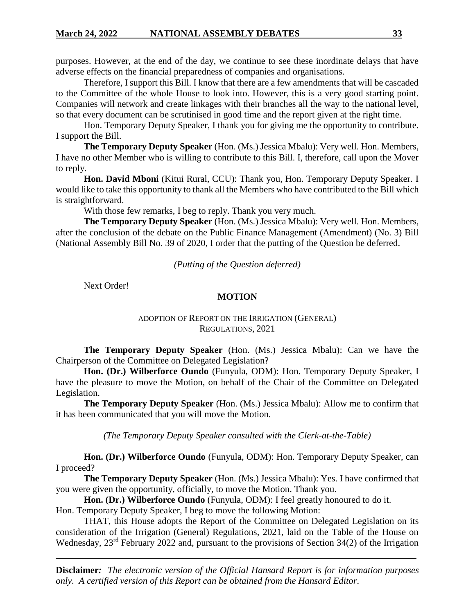purposes. However, at the end of the day, we continue to see these inordinate delays that have adverse effects on the financial preparedness of companies and organisations.

Therefore, I support this Bill. I know that there are a few amendments that will be cascaded to the Committee of the whole House to look into. However, this is a very good starting point. Companies will network and create linkages with their branches all the way to the national level, so that every document can be scrutinised in good time and the report given at the right time.

Hon. Temporary Deputy Speaker, I thank you for giving me the opportunity to contribute. I support the Bill.

**The Temporary Deputy Speaker** (Hon. (Ms.) Jessica Mbalu): Very well. Hon. Members, I have no other Member who is willing to contribute to this Bill. I, therefore, call upon the Mover to reply.

**Hon. David Mboni** (Kitui Rural, CCU): Thank you, Hon. Temporary Deputy Speaker. I would like to take this opportunity to thank all the Members who have contributed to the Bill which is straightforward.

With those few remarks, I beg to reply. Thank you very much.

**The Temporary Deputy Speaker** (Hon. (Ms.) Jessica Mbalu): Very well. Hon. Members, after the conclusion of the debate on the Public Finance Management (Amendment) (No. 3) Bill (National Assembly Bill No. 39 of 2020, I order that the putting of the Question be deferred.

*(Putting of the Question deferred)*

Next Order!

### **MOTION**

## ADOPTION OF REPORT ON THE IRRIGATION (GENERAL) REGULATIONS, 2021

**The Temporary Deputy Speaker** (Hon. (Ms.) Jessica Mbalu): Can we have the Chairperson of the Committee on Delegated Legislation?

**Hon. (Dr.) Wilberforce Oundo** (Funyula, ODM): Hon. Temporary Deputy Speaker, I have the pleasure to move the Motion, on behalf of the Chair of the Committee on Delegated Legislation.

**The Temporary Deputy Speaker** (Hon. (Ms.) Jessica Mbalu): Allow me to confirm that it has been communicated that you will move the Motion.

*(The Temporary Deputy Speaker consulted with the Clerk-at-the-Table)*

**Hon. (Dr.) Wilberforce Oundo** (Funyula, ODM): Hon. Temporary Deputy Speaker, can I proceed?

**The Temporary Deputy Speaker** (Hon. (Ms.) Jessica Mbalu): Yes. I have confirmed that you were given the opportunity, officially, to move the Motion. Thank you.

**Hon. (Dr.) Wilberforce Oundo** (Funyula, ODM): I feel greatly honoured to do it. Hon. Temporary Deputy Speaker, I beg to move the following Motion:

THAT, this House adopts the Report of the Committee on Delegated Legislation on its consideration of the Irrigation (General) Regulations, 2021, laid on the Table of the House on Wednesday, 23<sup>rd</sup> February 2022 and, pursuant to the provisions of Section 34(2) of the Irrigation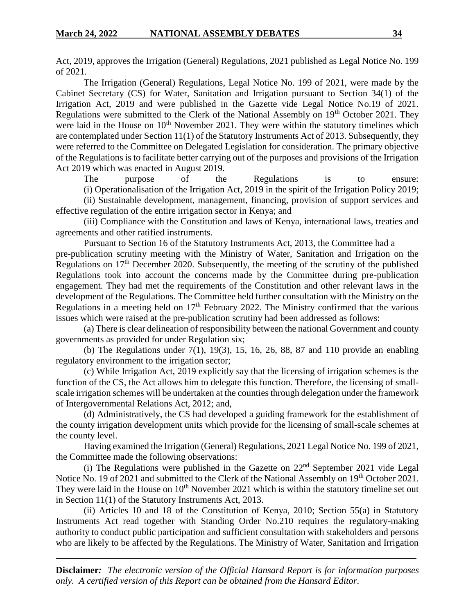Act, 2019, approves the Irrigation (General) Regulations, 2021 published as Legal Notice No. 199 of 2021.

The Irrigation (General) Regulations, Legal Notice No. 199 of 2021, were made by the Cabinet Secretary (CS) for Water, Sanitation and Irrigation pursuant to Section 34(1) of the Irrigation Act, 2019 and were published in the Gazette vide Legal Notice No.19 of 2021. Regulations were submitted to the Clerk of the National Assembly on 19<sup>th</sup> October 2021. They were laid in the House on  $10<sup>th</sup>$  November 2021. They were within the statutory timelines which are contemplated under Section 11(1) of the Statutory Instruments Act of 2013. Subsequently, they were referred to the Committee on Delegated Legislation for consideration. The primary objective of the Regulations is to facilitate better carrying out of the purposes and provisions of the Irrigation Act 2019 which was enacted in August 2019.

The purpose of the Regulations is to ensure: (i) Operationalisation of the Irrigation Act, 2019 in the spirit of the Irrigation Policy 2019; (ii) Sustainable development, management, financing, provision of support services and

effective regulation of the entire irrigation sector in Kenya; and

(iii) Compliance with the Constitution and laws of Kenya, international laws, treaties and agreements and other ratified instruments.

Pursuant to Section 16 of the Statutory Instruments Act, 2013, the Committee had a pre-publication scrutiny meeting with the Ministry of Water, Sanitation and Irrigation on the Regulations on  $17<sup>th</sup>$  December 2020. Subsequently, the meeting of the scrutiny of the published Regulations took into account the concerns made by the Committee during pre-publication engagement. They had met the requirements of the Constitution and other relevant laws in the development of the Regulations. The Committee held further consultation with the Ministry on the Regulations in a meeting held on  $17<sup>th</sup>$  February 2022. The Ministry confirmed that the various issues which were raised at the pre-publication scrutiny had been addressed as follows:

(a) There is clear delineation of responsibility between the national Government and county governments as provided for under Regulation six;

(b) The Regulations under  $7(1)$ , 19 $(3)$ , 15, 16, 26, 88, 87 and 110 provide an enabling regulatory environment to the irrigation sector;

(c) While Irrigation Act, 2019 explicitly say that the licensing of irrigation schemes is the function of the CS, the Act allows him to delegate this function. Therefore, the licensing of smallscale irrigation schemes will be undertaken at the counties through delegation under the framework of Intergovernmental Relations Act, 2012; and,

(d) Administratively, the CS had developed a guiding framework for the establishment of the county irrigation development units which provide for the licensing of small-scale schemes at the county level.

Having examined the Irrigation (General) Regulations, 2021 Legal Notice No. 199 of 2021, the Committee made the following observations:

(i) The Regulations were published in the Gazette on  $22<sup>nd</sup>$  September 2021 vide Legal Notice No. 19 of 2021 and submitted to the Clerk of the National Assembly on 19<sup>th</sup> October 2021. They were laid in the House on  $10<sup>th</sup>$  November 2021 which is within the statutory timeline set out in Section 11(1) of the Statutory Instruments Act, 2013.

(ii) Articles 10 and 18 of the Constitution of Kenya, 2010; Section 55(a) in Statutory Instruments Act read together with Standing Order No.210 requires the regulatory-making authority to conduct public participation and sufficient consultation with stakeholders and persons who are likely to be affected by the Regulations. The Ministry of Water, Sanitation and Irrigation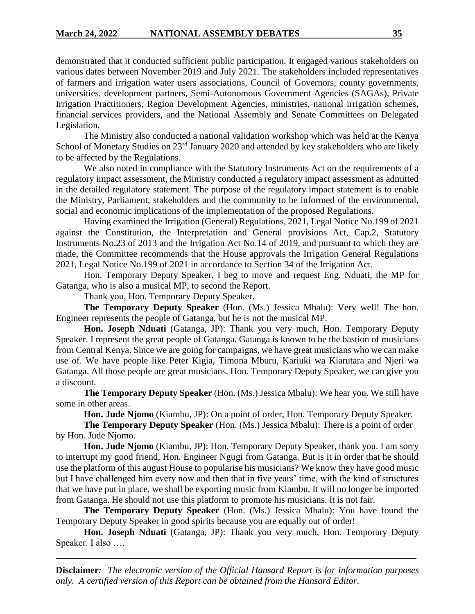demonstrated that it conducted sufficient public participation. It engaged various stakeholders on various dates between November 2019 and July 2021. The stakeholders included representatives of farmers and irrigation water users associations, Council of Governors, county governments, universities, development partners, Semi-Autonomous Government Agencies (SAGAs), Private Irrigation Practitioners, Region Development Agencies, ministries, national irrigation schemes, financial services providers, and the National Assembly and Senate Committees on Delegated Legislation.

The Ministry also conducted a national validation workshop which was held at the Kenya School of Monetary Studies on 23<sup>rd</sup> January 2020 and attended by key stakeholders who are likely to be affected by the Regulations.

We also noted in compliance with the Statutory Instruments Act on the requirements of a regulatory impact assessment, the Ministry conducted a regulatory impact assessment as admitted in the detailed regulatory statement. The purpose of the regulatory impact statement is to enable the Ministry, Parliament, stakeholders and the community to be informed of the environmental, social and economic implications of the implementation of the proposed Regulations.

Having examined the Irrigation (General) Regulations, 2021, Legal Notice No.199 of 2021 against the Constitution, the Interpretation and General provisions Act, Cap.2, Statutory Instruments No.23 of 2013 and the Irrigation Act No.14 of 2019, and pursuant to which they are made, the Committee recommends that the House approvals the Irrigation General Regulations 2021, Legal Notice No.199 of 2021 in accordance to Section 34 of the Irrigation Act.

Hon. Temporary Deputy Speaker, I beg to move and request Eng. Nduati, the MP for Gatanga, who is also a musical MP, to second the Report.

Thank you, Hon. Temporary Deputy Speaker.

**The Temporary Deputy Speaker** (Hon. (Ms.) Jessica Mbalu): Very well! The hon. Engineer represents the people of Gatanga, but he is not the musical MP.

**Hon. Joseph Nduati** (Gatanga, JP): Thank you very much, Hon. Temporary Deputy Speaker. I represent the great people of Gatanga. Gatanga is known to be the bastion of musicians from Central Kenya. Since we are going for campaigns, we have great musicians who we can make use of. We have people like Peter Kigia, Timona Mburu, Kariuki wa Kiarutara and Njeri wa Gatanga. All those people are great musicians. Hon. Temporary Deputy Speaker, we can give you a discount.

**The Temporary Deputy Speaker** (Hon. (Ms.) Jessica Mbalu): We hear you. We still have some in other areas.

**Hon. Jude Njomo** (Kiambu, JP): On a point of order, Hon. Temporary Deputy Speaker.

**The Temporary Deputy Speaker** (Hon. (Ms.) Jessica Mbalu): There is a point of order by Hon. Jude Njomo.

**Hon. Jude Njomo** (Kiambu, JP): Hon. Temporary Deputy Speaker, thank you. I am sorry to interrupt my good friend, Hon. Engineer Ngugi from Gatanga. But is it in order that he should use the platform of this august House to popularise his musicians? We know they have good music but I have challenged him every now and then that in five years' time, with the kind of structures that we have put in place, we shall be exporting music from Kiambu. It will no longer be imported from Gatanga. He should not use this platform to promote his musicians. It is not fair.

**The Temporary Deputy Speaker** (Hon. (Ms.) Jessica Mbalu): You have found the Temporary Deputy Speaker in good spirits because you are equally out of order!

**Hon. Joseph Nduati** (Gatanga, JP): Thank you very much, Hon. Temporary Deputy Speaker. I also ….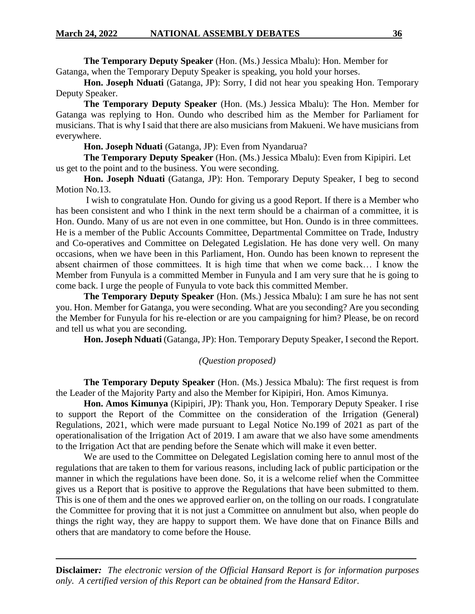**The Temporary Deputy Speaker** (Hon. (Ms.) Jessica Mbalu): Hon. Member for Gatanga, when the Temporary Deputy Speaker is speaking, you hold your horses.

**Hon. Joseph Nduati** (Gatanga, JP): Sorry, I did not hear you speaking Hon. Temporary Deputy Speaker.

**The Temporary Deputy Speaker** (Hon. (Ms.) Jessica Mbalu): The Hon. Member for Gatanga was replying to Hon. Oundo who described him as the Member for Parliament for musicians. That is why I said that there are also musicians from Makueni. We have musicians from everywhere.

**Hon. Joseph Nduati** (Gatanga, JP): Even from Nyandarua?

**The Temporary Deputy Speaker** (Hon. (Ms.) Jessica Mbalu): Even from Kipipiri. Let us get to the point and to the business. You were seconding.

**Hon. Joseph Nduati** (Gatanga, JP): Hon. Temporary Deputy Speaker, I beg to second Motion No.13.

I wish to congratulate Hon. Oundo for giving us a good Report. If there is a Member who has been consistent and who I think in the next term should be a chairman of a committee, it is Hon. Oundo. Many of us are not even in one committee, but Hon. Oundo is in three committees. He is a member of the Public Accounts Committee, Departmental Committee on Trade, Industry and Co-operatives and Committee on Delegated Legislation. He has done very well. On many occasions, when we have been in this Parliament, Hon. Oundo has been known to represent the absent chairmen of those committees. It is high time that when we come back… I know the Member from Funyula is a committed Member in Funyula and I am very sure that he is going to come back. I urge the people of Funyula to vote back this committed Member.

**The Temporary Deputy Speaker** (Hon. (Ms.) Jessica Mbalu): I am sure he has not sent you. Hon. Member for Gatanga, you were seconding. What are you seconding? Are you seconding the Member for Funyula for his re-election or are you campaigning for him? Please, be on record and tell us what you are seconding.

**Hon. Joseph Nduati** (Gatanga, JP): Hon. Temporary Deputy Speaker, I second the Report.

# *(Question proposed)*

**The Temporary Deputy Speaker** (Hon. (Ms.) Jessica Mbalu): The first request is from the Leader of the Majority Party and also the Member for Kipipiri, Hon. Amos Kimunya.

**Hon. Amos Kimunya** (Kipipiri, JP): Thank you, Hon. Temporary Deputy Speaker. I rise to support the Report of the Committee on the consideration of the Irrigation (General) Regulations, 2021, which were made pursuant to Legal Notice No.199 of 2021 as part of the operationalisation of the Irrigation Act of 2019. I am aware that we also have some amendments to the Irrigation Act that are pending before the Senate which will make it even better.

We are used to the Committee on Delegated Legislation coming here to annul most of the regulations that are taken to them for various reasons, including lack of public participation or the manner in which the regulations have been done. So, it is a welcome relief when the Committee gives us a Report that is positive to approve the Regulations that have been submitted to them. This is one of them and the ones we approved earlier on, on the tolling on our roads. I congratulate the Committee for proving that it is not just a Committee on annulment but also, when people do things the right way, they are happy to support them. We have done that on Finance Bills and others that are mandatory to come before the House.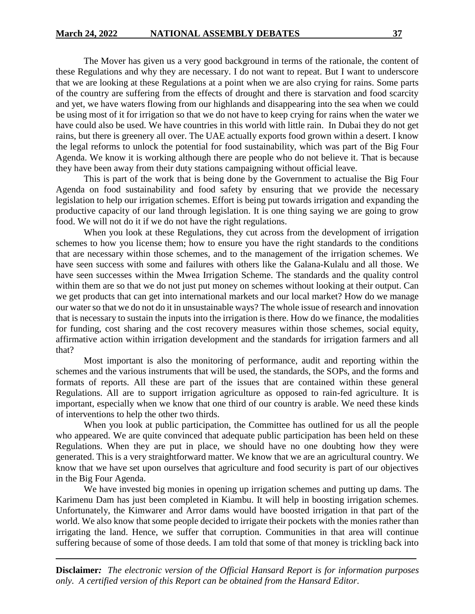The Mover has given us a very good background in terms of the rationale, the content of these Regulations and why they are necessary. I do not want to repeat. But I want to underscore that we are looking at these Regulations at a point when we are also crying for rains. Some parts of the country are suffering from the effects of drought and there is starvation and food scarcity and yet, we have waters flowing from our highlands and disappearing into the sea when we could be using most of it for irrigation so that we do not have to keep crying for rains when the water we have could also be used. We have countries in this world with little rain. In Dubai they do not get rains, but there is greenery all over. The UAE actually exports food grown within a desert. I know the legal reforms to unlock the potential for food sustainability, which was part of the Big Four Agenda. We know it is working although there are people who do not believe it. That is because they have been away from their duty stations campaigning without official leave.

This is part of the work that is being done by the Government to actualise the Big Four Agenda on food sustainability and food safety by ensuring that we provide the necessary legislation to help our irrigation schemes. Effort is being put towards irrigation and expanding the productive capacity of our land through legislation. It is one thing saying we are going to grow food. We will not do it if we do not have the right regulations.

When you look at these Regulations, they cut across from the development of irrigation schemes to how you license them; how to ensure you have the right standards to the conditions that are necessary within those schemes, and to the management of the irrigation schemes. We have seen success with some and failures with others like the Galana-Kulalu and all those. We have seen successes within the Mwea Irrigation Scheme. The standards and the quality control within them are so that we do not just put money on schemes without looking at their output. Can we get products that can get into international markets and our local market? How do we manage our water so that we do not do it in unsustainable ways? The whole issue of research and innovation that is necessary to sustain the inputs into the irrigation is there. How do we finance, the modalities for funding, cost sharing and the cost recovery measures within those schemes, social equity, affirmative action within irrigation development and the standards for irrigation farmers and all that?

Most important is also the monitoring of performance, audit and reporting within the schemes and the various instruments that will be used, the standards, the SOPs, and the forms and formats of reports. All these are part of the issues that are contained within these general Regulations. All are to support irrigation agriculture as opposed to rain-fed agriculture. It is important, especially when we know that one third of our country is arable. We need these kinds of interventions to help the other two thirds.

When you look at public participation, the Committee has outlined for us all the people who appeared. We are quite convinced that adequate public participation has been held on these Regulations. When they are put in place, we should have no one doubting how they were generated. This is a very straightforward matter. We know that we are an agricultural country. We know that we have set upon ourselves that agriculture and food security is part of our objectives in the Big Four Agenda.

We have invested big monies in opening up irrigation schemes and putting up dams. The Karimenu Dam has just been completed in Kiambu. It will help in boosting irrigation schemes. Unfortunately, the Kimwarer and Arror dams would have boosted irrigation in that part of the world. We also know that some people decided to irrigate their pockets with the monies rather than irrigating the land. Hence, we suffer that corruption. Communities in that area will continue suffering because of some of those deeds. I am told that some of that money is trickling back into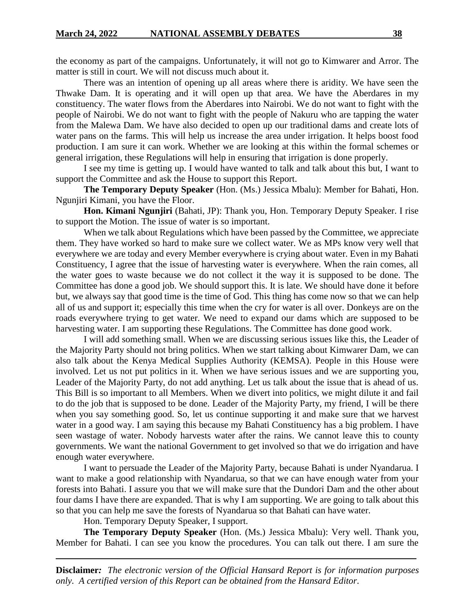the economy as part of the campaigns. Unfortunately, it will not go to Kimwarer and Arror. The matter is still in court. We will not discuss much about it.

There was an intention of opening up all areas where there is aridity. We have seen the Thwake Dam. It is operating and it will open up that area. We have the Aberdares in my constituency. The water flows from the Aberdares into Nairobi. We do not want to fight with the people of Nairobi. We do not want to fight with the people of Nakuru who are tapping the water from the Malewa Dam. We have also decided to open up our traditional dams and create lots of water pans on the farms. This will help us increase the area under irrigation. It helps boost food production. I am sure it can work. Whether we are looking at this within the formal schemes or general irrigation, these Regulations will help in ensuring that irrigation is done properly.

I see my time is getting up. I would have wanted to talk and talk about this but, I want to support the Committee and ask the House to support this Report.

**The Temporary Deputy Speaker** (Hon. (Ms.) Jessica Mbalu): Member for Bahati, Hon. Ngunjiri Kimani, you have the Floor.

**Hon. Kimani Ngunjiri** (Bahati, JP): Thank you, Hon. Temporary Deputy Speaker. I rise to support the Motion. The issue of water is so important.

When we talk about Regulations which have been passed by the Committee, we appreciate them. They have worked so hard to make sure we collect water. We as MPs know very well that everywhere we are today and every Member everywhere is crying about water. Even in my Bahati Constituency, I agree that the issue of harvesting water is everywhere. When the rain comes, all the water goes to waste because we do not collect it the way it is supposed to be done. The Committee has done a good job. We should support this. It is late. We should have done it before but, we always say that good time is the time of God. This thing has come now so that we can help all of us and support it; especially this time when the cry for water is all over. Donkeys are on the roads everywhere trying to get water. We need to expand our dams which are supposed to be harvesting water. I am supporting these Regulations. The Committee has done good work.

I will add something small. When we are discussing serious issues like this, the Leader of the Majority Party should not bring politics. When we start talking about Kimwarer Dam, we can also talk about the Kenya Medical Supplies Authority (KEMSA). People in this House were involved. Let us not put politics in it. When we have serious issues and we are supporting you, Leader of the Majority Party, do not add anything. Let us talk about the issue that is ahead of us. This Bill is so important to all Members. When we divert into politics, we might dilute it and fail to do the job that is supposed to be done. Leader of the Majority Party, my friend, I will be there when you say something good. So, let us continue supporting it and make sure that we harvest water in a good way. I am saying this because my Bahati Constituency has a big problem. I have seen wastage of water. Nobody harvests water after the rains. We cannot leave this to county governments. We want the national Government to get involved so that we do irrigation and have enough water everywhere.

I want to persuade the Leader of the Majority Party, because Bahati is under Nyandarua. I want to make a good relationship with Nyandarua, so that we can have enough water from your forests into Bahati. I assure you that we will make sure that the Dundori Dam and the other about four dams I have there are expanded. That is why I am supporting. We are going to talk about this so that you can help me save the forests of Nyandarua so that Bahati can have water.

Hon. Temporary Deputy Speaker, I support.

**The Temporary Deputy Speaker** (Hon. (Ms.) Jessica Mbalu): Very well. Thank you, Member for Bahati. I can see you know the procedures. You can talk out there. I am sure the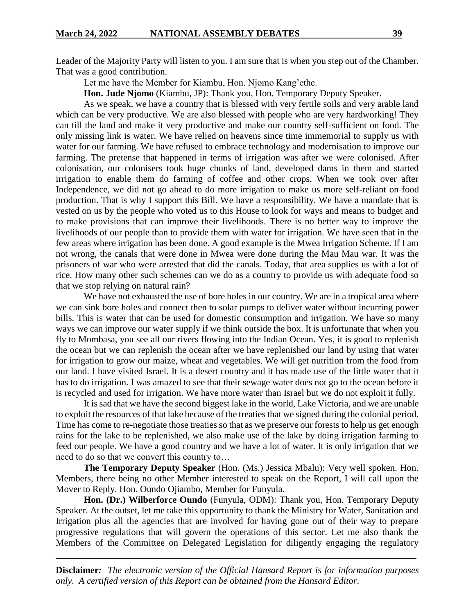Leader of the Majority Party will listen to you. I am sure that is when you step out of the Chamber. That was a good contribution.

Let me have the Member for Kiambu, Hon. Njomo Kang'ethe.

**Hon. Jude Njomo** (Kiambu, JP): Thank you, Hon. Temporary Deputy Speaker.

As we speak, we have a country that is blessed with very fertile soils and very arable land which can be very productive. We are also blessed with people who are very hardworking! They can till the land and make it very productive and make our country self-sufficient on food. The only missing link is water. We have relied on heavens since time immemorial to supply us with water for our farming. We have refused to embrace technology and modernisation to improve our farming. The pretense that happened in terms of irrigation was after we were colonised. After colonisation, our colonisers took huge chunks of land, developed dams in them and started irrigation to enable them do farming of coffee and other crops. When we took over after Independence, we did not go ahead to do more irrigation to make us more self-reliant on food production. That is why I support this Bill. We have a responsibility. We have a mandate that is vested on us by the people who voted us to this House to look for ways and means to budget and to make provisions that can improve their livelihoods. There is no better way to improve the livelihoods of our people than to provide them with water for irrigation. We have seen that in the few areas where irrigation has been done. A good example is the Mwea Irrigation Scheme. If I am not wrong, the canals that were done in Mwea were done during the Mau Mau war. It was the prisoners of war who were arrested that did the canals. Today, that area supplies us with a lot of rice. How many other such schemes can we do as a country to provide us with adequate food so that we stop relying on natural rain?

We have not exhausted the use of bore holes in our country. We are in a tropical area where we can sink bore holes and connect then to solar pumps to deliver water without incurring power bills. This is water that can be used for domestic consumption and irrigation. We have so many ways we can improve our water supply if we think outside the box. It is unfortunate that when you fly to Mombasa, you see all our rivers flowing into the Indian Ocean. Yes, it is good to replenish the ocean but we can replenish the ocean after we have replenished our land by using that water for irrigation to grow our maize, wheat and vegetables. We will get nutrition from the food from our land. I have visited Israel. It is a desert country and it has made use of the little water that it has to do irrigation. I was amazed to see that their sewage water does not go to the ocean before it is recycled and used for irrigation. We have more water than Israel but we do not exploit it fully.

It is sad that we have the second biggest lake in the world, Lake Victoria, and we are unable to exploit the resources of that lake because of the treaties that we signed during the colonial period. Time has come to re-negotiate those treaties so that as we preserve our forests to help us get enough rains for the lake to be replenished, we also make use of the lake by doing irrigation farming to feed our people. We have a good country and we have a lot of water. It is only irrigation that we need to do so that we convert this country to…

**The Temporary Deputy Speaker** (Hon. (Ms.) Jessica Mbalu): Very well spoken. Hon. Members, there being no other Member interested to speak on the Report, I will call upon the Mover to Reply. Hon. Oundo Ojiambo, Member for Funyula.

**Hon. (Dr.) Wilberforce Oundo** (Funyula, ODM): Thank you, Hon. Temporary Deputy Speaker. At the outset, let me take this opportunity to thank the Ministry for Water, Sanitation and Irrigation plus all the agencies that are involved for having gone out of their way to prepare progressive regulations that will govern the operations of this sector. Let me also thank the Members of the Committee on Delegated Legislation for diligently engaging the regulatory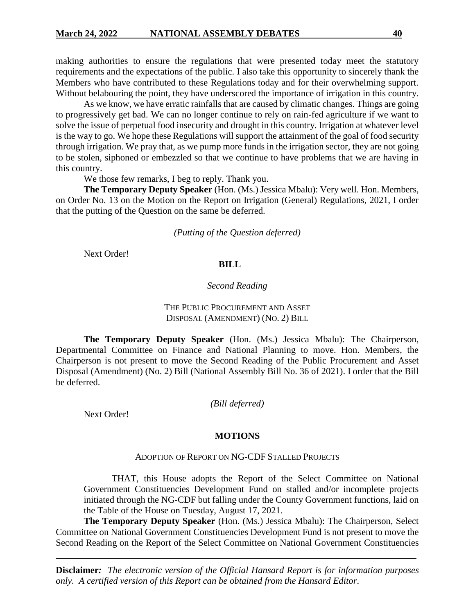making authorities to ensure the regulations that were presented today meet the statutory requirements and the expectations of the public. I also take this opportunity to sincerely thank the Members who have contributed to these Regulations today and for their overwhelming support. Without belabouring the point, they have underscored the importance of irrigation in this country.

As we know, we have erratic rainfalls that are caused by climatic changes. Things are going to progressively get bad. We can no longer continue to rely on rain-fed agriculture if we want to solve the issue of perpetual food insecurity and drought in this country. Irrigation at whatever level is the way to go. We hope these Regulations will support the attainment of the goal of food security through irrigation. We pray that, as we pump more funds in the irrigation sector, they are not going to be stolen, siphoned or embezzled so that we continue to have problems that we are having in this country.

We those few remarks, I beg to reply. Thank you.

**The Temporary Deputy Speaker** (Hon. (Ms.) Jessica Mbalu): Very well. Hon. Members, on Order No. 13 on the Motion on the Report on Irrigation (General) Regulations, 2021, I order that the putting of the Question on the same be deferred.

*(Putting of the Question deferred)*

Next Order!

## **BILL**

## *Second Reading*

## THE PUBLIC PROCUREMENT AND ASSET DISPOSAL (AMENDMENT) (NO. 2) BILL

**The Temporary Deputy Speaker** (Hon. (Ms.) Jessica Mbalu): The Chairperson, Departmental Committee on Finance and National Planning to move. Hon. Members, the Chairperson is not present to move the Second Reading of the Public Procurement and Asset Disposal (Amendment) (No. 2) Bill (National Assembly Bill No. 36 of 2021). I order that the Bill be deferred.

*(Bill deferred)*

Next Order!

#### **MOTIONS**

#### ADOPTION OF REPORT ON NG-CDF STALLED PROJECTS

THAT, this House adopts the Report of the Select Committee on National Government Constituencies Development Fund on stalled and/or incomplete projects initiated through the NG-CDF but falling under the County Government functions, laid on the Table of the House on Tuesday, August 17, 2021.

**The Temporary Deputy Speaker** (Hon. (Ms.) Jessica Mbalu): The Chairperson, Select Committee on National Government Constituencies Development Fund is not present to move the Second Reading on the Report of the Select Committee on National Government Constituencies